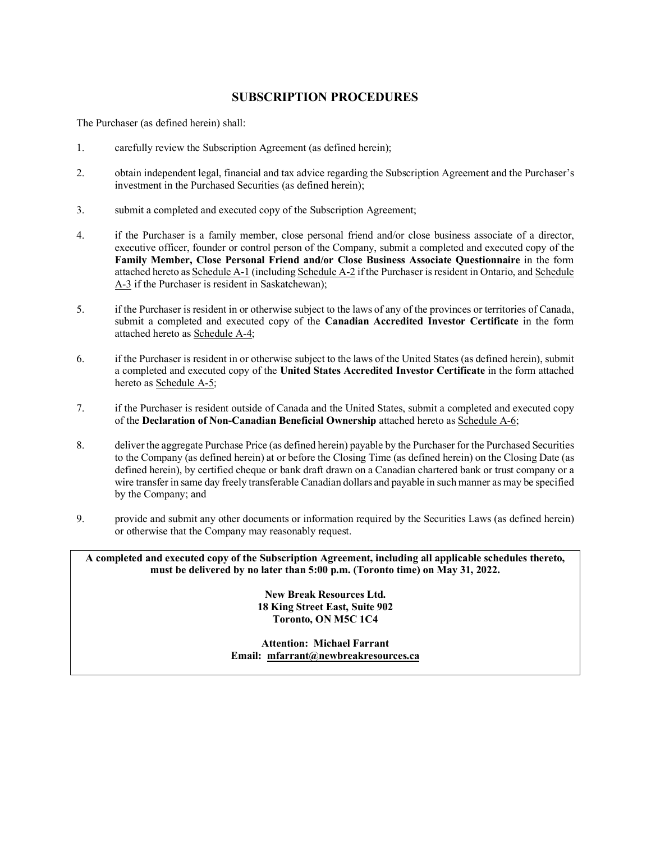# **SUBSCRIPTION PROCEDURES**

The Purchaser (as defined herein) shall:

- 1. carefully review the Subscription Agreement (as defined herein);
- 2. obtain independent legal, financial and tax advice regarding the Subscription Agreement and the Purchaser's investment in the Purchased Securities (as defined herein);
- 3. submit a completed and executed copy of the Subscription Agreement;
- 4. if the Purchaser is a family member, close personal friend and/or close business associate of a director, executive officer, founder or control person of the Company, submit a completed and executed copy of the **Family Member, Close Personal Friend and/or Close Business Associate Questionnaire** in the form attached hereto as Schedule A-1 (including Schedule A-2 if the Purchaser is resident in Ontario, and Schedule A-3 if the Purchaser is resident in Saskatchewan);
- 5. if the Purchaser is resident in or otherwise subject to the laws of any of the provinces or territories of Canada, submit a completed and executed copy of the **Canadian Accredited Investor Certificate** in the form attached hereto as Schedule A-4;
- 6. if the Purchaser is resident in or otherwise subject to the laws of the United States (as defined herein), submit a completed and executed copy of the **United States Accredited Investor Certificate** in the form attached hereto as Schedule A-5;
- 7. if the Purchaser is resident outside of Canada and the United States, submit a completed and executed copy of the **Declaration of Non-Canadian Beneficial Ownership** attached hereto as Schedule A-6;
- 8. deliver the aggregate Purchase Price (as defined herein) payable by the Purchaser for the Purchased Securities to the Company (as defined herein) at or before the Closing Time (as defined herein) on the Closing Date (as defined herein), by certified cheque or bank draft drawn on a Canadian chartered bank or trust company or a wire transfer in same day freely transferable Canadian dollars and payable in such manner as may be specified by the Company; and
- 9. provide and submit any other documents or information required by the Securities Laws (as defined herein) or otherwise that the Company may reasonably request.

**A completed and executed copy of the Subscription Agreement, including all applicable schedules thereto, must be delivered by no later than 5:00 p.m. (Toronto time) on May 31, 2022.** 

> **New Break Resources Ltd. 18 King Street East, Suite 902 Toronto, ON M5C 1C4**

**Attention: Michael Farrant Email: [mfarrant@newbreakresources.ca](mailto:mfarrant@newbreakresources.ca)**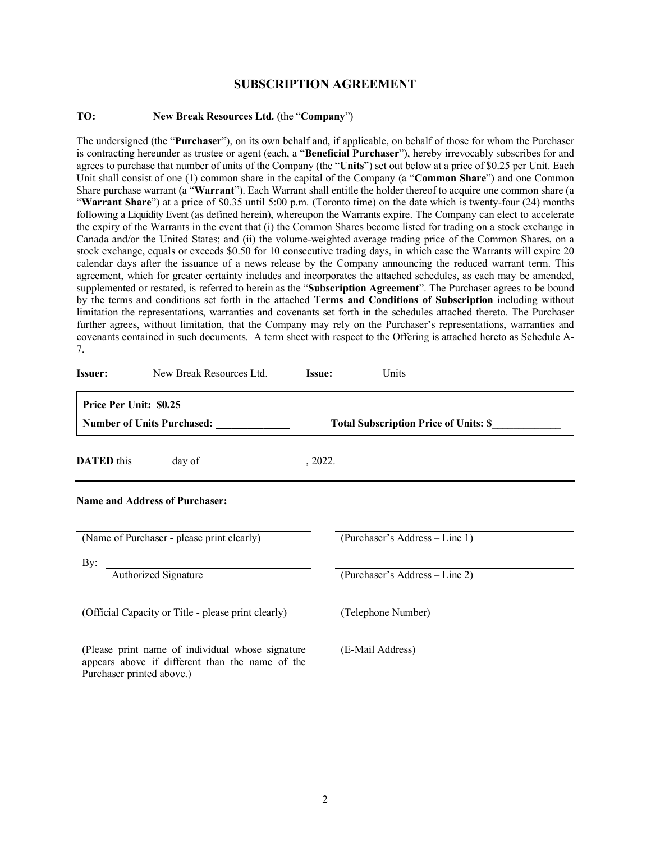# **SUBSCRIPTION AGREEMENT**

#### **TO: New Break Resources Ltd.** (the "**Company**")

The undersigned (the "**Purchaser**"), on its own behalf and, if applicable, on behalf of those for whom the Purchaser is contracting hereunder as trustee or agent (each, a "**Beneficial Purchaser**"), hereby irrevocably subscribes for and agrees to purchase that number of units of the Company (the "**Units**") set out below at a price of \$0.25 per Unit. Each Unit shall consist of one (1) common share in the capital of the Company (a "**Common Share**") and one Common Share purchase warrant (a "**Warrant**"). Each Warrant shall entitle the holder thereof to acquire one common share (a "**Warrant Share**") at a price of \$0.35 until 5:00 p.m. (Toronto time) on the date which is twenty-four (24) months following a Liquidity Event (as defined herein), whereupon the Warrants expire. The Company can elect to accelerate the expiry of the Warrants in the event that (i) the Common Shares become listed for trading on a stock exchange in Canada and/or the United States; and (ii) the volume-weighted average trading price of the Common Shares, on a stock exchange, equals or exceeds \$0.50 for 10 consecutive trading days, in which case the Warrants will expire 20 calendar days after the issuance of a news release by the Company announcing the reduced warrant term. This agreement, which for greater certainty includes and incorporates the attached schedules, as each may be amended, supplemented or restated, is referred to herein as the "**Subscription Agreement**". The Purchaser agrees to be bound by the terms and conditions set forth in the attached **Terms and Conditions of Subscription** including without limitation the representations, warranties and covenants set forth in the schedules attached thereto. The Purchaser further agrees, without limitation, that the Company may rely on the Purchaser's representations, warranties and covenants contained in such documents. A term sheet with respect to the Offering is attached hereto as Schedule A-7.

| <b>Issuer:</b>                            | New Break Resources Ltd.                                                                                                         | <b>Issue:</b> | Units                                        |
|-------------------------------------------|----------------------------------------------------------------------------------------------------------------------------------|---------------|----------------------------------------------|
| Price Per Unit: \$0.25                    |                                                                                                                                  |               |                                              |
| Number of Units Purchased: ______________ |                                                                                                                                  |               | <b>Total Subscription Price of Units: \$</b> |
|                                           |                                                                                                                                  |               |                                              |
|                                           | <b>Name and Address of Purchaser:</b>                                                                                            |               |                                              |
|                                           | (Name of Purchaser - please print clearly)                                                                                       |               | (Purchaser's Address – Line 1)               |
| By:                                       | Authorized Signature                                                                                                             |               | (Purchaser's Address – Line 2)               |
|                                           | (Official Capacity or Title - please print clearly)                                                                              |               | (Telephone Number)                           |
|                                           | (Please print name of individual whose signature<br>appears above if different than the name of the<br>Purchaser printed above.) |               | (E-Mail Address)                             |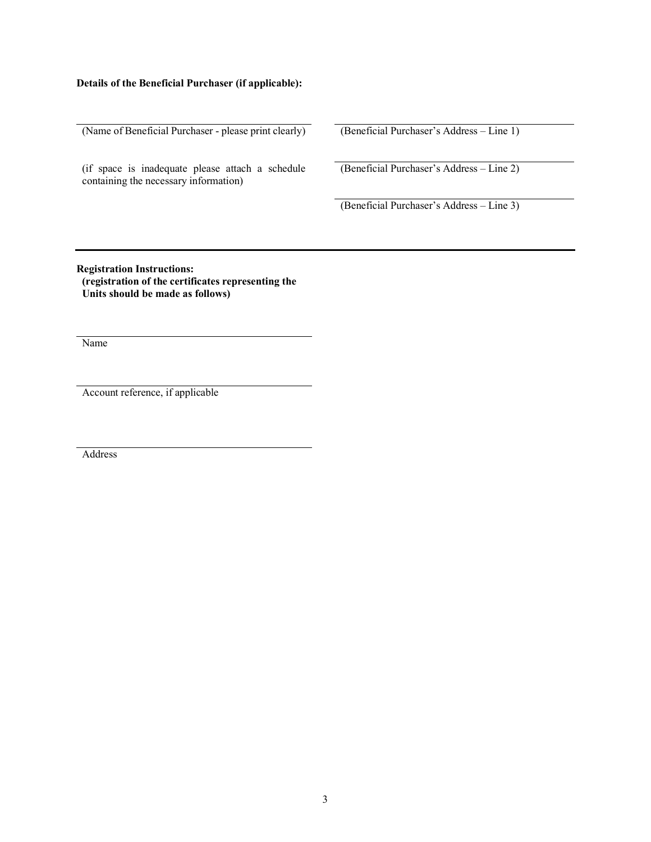# **Details of the Beneficial Purchaser (if applicable):**

(Name of Beneficial Purchaser - please print clearly) (Beneficial Purchaser's Address – Line 1)

(if space is inadequate please attach a schedule containing the necessary information)

(Beneficial Purchaser's Address – Line 2)

(Beneficial Purchaser's Address – Line 3)

**Registration Instructions: (registration of the certificates representing the Units should be made as follows)**

Name

Account reference, if applicable

Address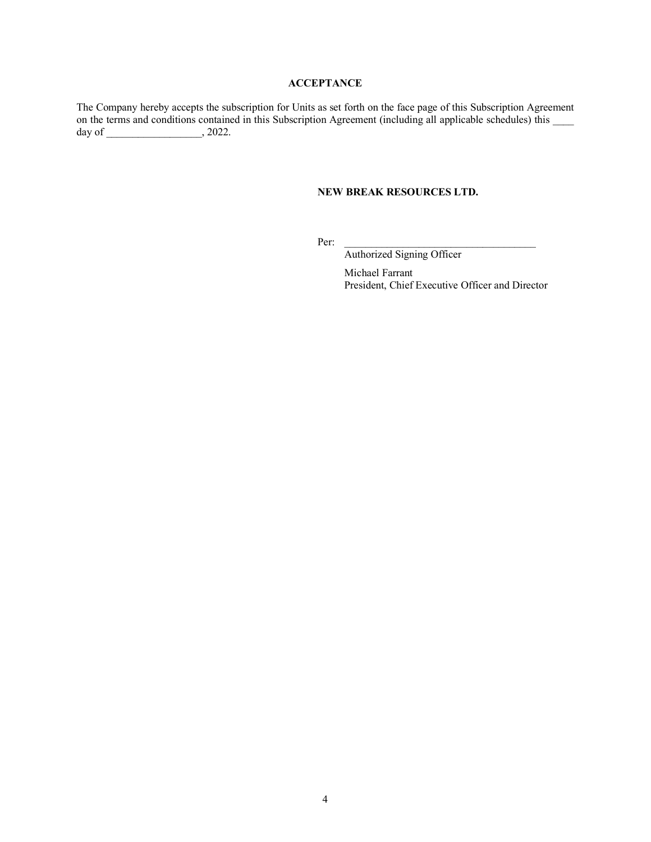# **ACCEPTANCE**

The Company hereby accepts the subscription for Units as set forth on the face page of this Subscription Agreement on the terms and conditions contained in this Subscription Agreement (including all applicable schedules) this \_\_\_\_ day of \_\_\_\_\_\_\_\_\_\_\_\_\_\_\_\_\_\_, 2022.

#### **NEW BREAK RESOURCES LTD.**

Per:

Authorized Signing Officer

Michael Farrant President, Chief Executive Officer and Director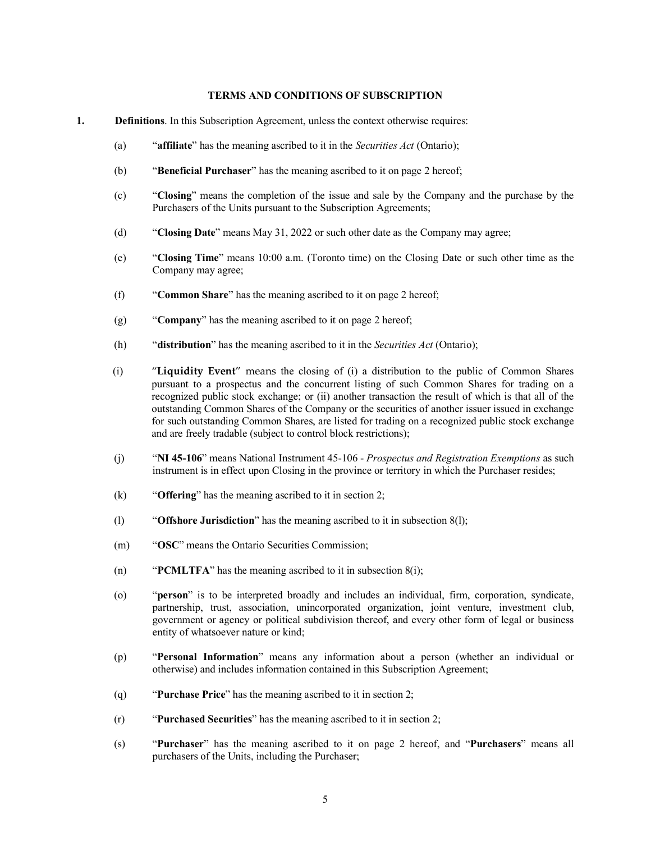#### **TERMS AND CONDITIONS OF SUBSCRIPTION**

- **1. Definitions**. In this Subscription Agreement, unless the context otherwise requires:
	- (a) "**affiliate**" has the meaning ascribed to it in the *Securities Act* (Ontario);
	- (b) "**Beneficial Purchaser**" has the meaning ascribed to it on page 2 hereof;
	- (c) "**Closing**" means the completion of the issue and sale by the Company and the purchase by the Purchasers of the Units pursuant to the Subscription Agreements;
	- (d) "**Closing Date**" means May 31, 2022 or such other date as the Company may agree;
	- (e) "**Closing Time**" means 10:00 a.m. (Toronto time) on the Closing Date or such other time as the Company may agree;
	- (f) "**Common Share**" has the meaning ascribed to it on page 2 hereof;
	- (g) "**Company**" has the meaning ascribed to it on page 2 hereof;
	- (h) "**distribution**" has the meaning ascribed to it in the *Securities Act* (Ontario);
	- (i) "**Liquidity Event**" means the closing of (i) a distribution to the public of Common Shares pursuant to a prospectus and the concurrent listing of such Common Shares for trading on a recognized public stock exchange; or (ii) another transaction the result of which is that all of the outstanding Common Shares of the Company or the securities of another issuer issued in exchange for such outstanding Common Shares, are listed for trading on a recognized public stock exchange and are freely tradable (subject to control block restrictions);
	- (j) "**NI 45-106**" means National Instrument 45-106 *Prospectus and Registration Exemptions* as such instrument is in effect upon Closing in the province or territory in which the Purchaser resides;
	- (k) "**Offering**" has the meaning ascribed to it in section [2;](#page-5-0)
	- (l) "**Offshore Jurisdiction**" has the meaning ascribed to it in subsection [8\(l\);](#page-12-0)
	- (m) "**OSC**" means the Ontario Securities Commission;
	- (n) "**PCMLTFA**" has the meaning ascribed to it in subsection [8\(i\);](#page-10-0)
	- (o) "**person**" is to be interpreted broadly and includes an individual, firm, corporation, syndicate, partnership, trust, association, unincorporated organization, joint venture, investment club, government or agency or political subdivision thereof, and every other form of legal or business entity of whatsoever nature or kind;
	- (p) "**Personal Information**" means any information about a person (whether an individual or otherwise) and includes information contained in this Subscription Agreement;
	- (q) "**Purchase Price**" has the meaning ascribed to it in section [2;](#page-5-0)
	- (r) "**Purchased Securities**" has the meaning ascribed to it in section [2;](#page-5-0)
	- (s) "**Purchaser**" has the meaning ascribed to it on page 2 hereof, and "**Purchasers**" means all purchasers of the Units, including the Purchaser;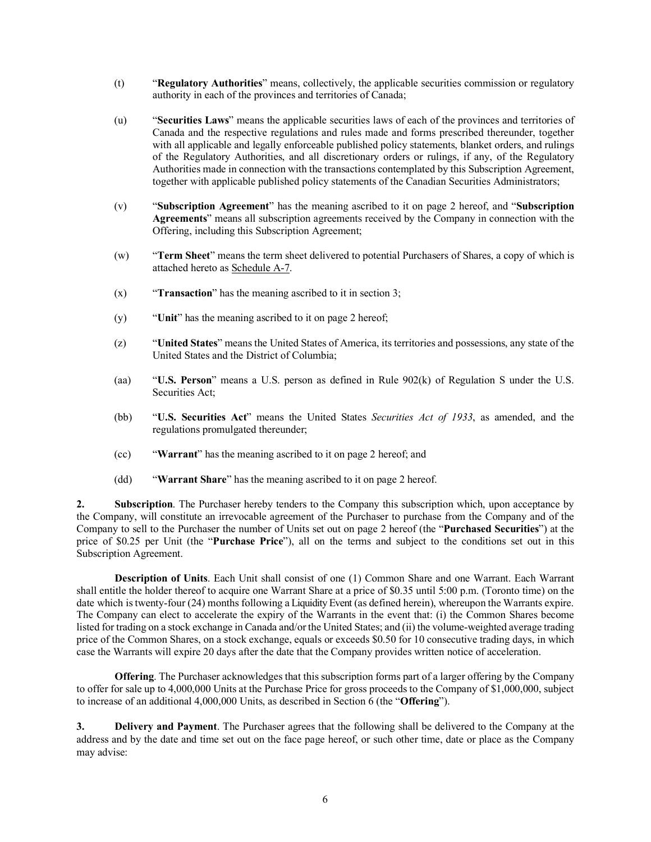- (t) "**Regulatory Authorities**" means, collectively, the applicable securities commission or regulatory authority in each of the provinces and territories of Canada;
- (u) "**Securities Laws**" means the applicable securities laws of each of the provinces and territories of Canada and the respective regulations and rules made and forms prescribed thereunder, together with all applicable and legally enforceable published policy statements, blanket orders, and rulings of the Regulatory Authorities, and all discretionary orders or rulings, if any, of the Regulatory Authorities made in connection with the transactions contemplated by this Subscription Agreement, together with applicable published policy statements of the Canadian Securities Administrators;
- (v) "**Subscription Agreement**" has the meaning ascribed to it on page 2 hereof, and "**Subscription Agreements**" means all subscription agreements received by the Company in connection with the Offering, including this Subscription Agreement;
- (w) "**Term Sheet**" means the term sheet delivered to potential Purchasers of Shares, a copy of which is attached hereto as Schedule A-7.
- (x) "**Transaction**" has the meaning ascribed to it in section 3;
- (y) "**Unit**" has the meaning ascribed to it on page 2 hereof;
- (z) "**United States**" means the United States of America, its territories and possessions, any state of the United States and the District of Columbia;
- (aa) "**U.S. Person**" means a U.S. person as defined in Rule 902(k) of Regulation S under the U.S. Securities Act;
- (bb) "**U.S. Securities Act**" means the United States *Securities Act of 1933*, as amended, and the regulations promulgated thereunder;
- (cc) "**Warrant**" has the meaning ascribed to it on page 2 hereof; and
- (dd) "**Warrant Share**" has the meaning ascribed to it on page 2 hereof.

<span id="page-5-0"></span>**2. Subscription**. The Purchaser hereby tenders to the Company this subscription which, upon acceptance by the Company, will constitute an irrevocable agreement of the Purchaser to purchase from the Company and of the Company to sell to the Purchaser the number of Units set out on page 2 hereof (the "**Purchased Securities**") at the price of \$0.25 per Unit (the "**Purchase Price**"), all on the terms and subject to the conditions set out in this Subscription Agreement.

**Description of Units**. Each Unit shall consist of one (1) Common Share and one Warrant. Each Warrant shall entitle the holder thereof to acquire one Warrant Share at a price of \$0.35 until 5:00 p.m. (Toronto time) on the date which is twenty-four (24) months following a Liquidity Event (as defined herein), whereupon the Warrants expire. The Company can elect to accelerate the expiry of the Warrants in the event that: (i) the Common Shares become listed for trading on a stock exchange in Canada and/or the United States; and (ii) the volume-weighted average trading price of the Common Shares, on a stock exchange, equals or exceeds \$0.50 for 10 consecutive trading days, in which case the Warrants will expire 20 days after the date that the Company provides written notice of acceleration.

**Offering**. The Purchaser acknowledges that this subscription forms part of a larger offering by the Company to offer for sale up to 4,000,000 Units at the Purchase Price for gross proceeds to the Company of \$1,000,000, subject to increase of an additional 4,000,000 Units, as described in Section 6 (the "**Offering**").

**3. Delivery and Payment**. The Purchaser agrees that the following shall be delivered to the Company at the address and by the date and time set out on the face page hereof, or such other time, date or place as the Company may advise: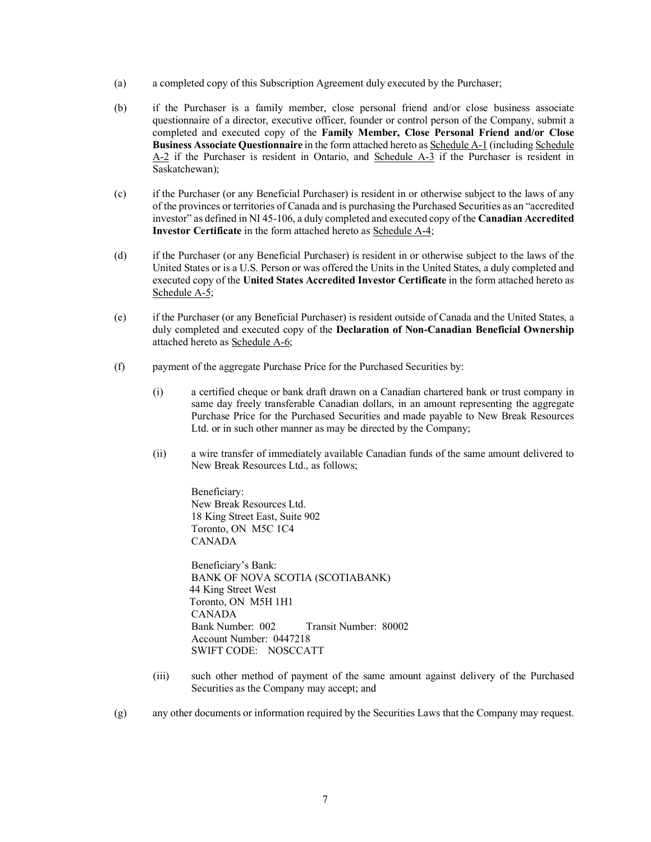- (a) a completed copy of this Subscription Agreement duly executed by the Purchaser;
- (b) if the Purchaser is a family member, close personal friend and/or close business associate questionnaire of a director, executive officer, founder or control person of the Company, submit a completed and executed copy of the **Family Member, Close Personal Friend and/or Close Business Associate Questionnaire** in the form attached hereto as Schedule A-1 (including Schedule A-2 if the Purchaser is resident in Ontario, and Schedule A-3 if the Purchaser is resident in Saskatchewan);
- (c) if the Purchaser (or any Beneficial Purchaser) is resident in or otherwise subject to the laws of any of the provinces or territories of Canada and is purchasing the Purchased Securities as an "accredited investor" as defined in NI 45-106, a duly completed and executed copy of the **Canadian Accredited Investor Certificate** in the form attached hereto as Schedule A-4;
- (d) if the Purchaser (or any Beneficial Purchaser) is resident in or otherwise subject to the laws of the United States or is a U.S. Person or was offered the Units in the United States, a duly completed and executed copy of the **United States Accredited Investor Certificate** in the form attached hereto as Schedule A-5;
- (e) if the Purchaser (or any Beneficial Purchaser) is resident outside of Canada and the United States, a duly completed and executed copy of the **Declaration of Non-Canadian Beneficial Ownership** attached hereto as Schedule A-6;
- (f) payment of the aggregate Purchase Price for the Purchased Securities by:
	- (i) a certified cheque or bank draft drawn on a Canadian chartered bank or trust company in same day freely transferable Canadian dollars, in an amount representing the aggregate Purchase Price for the Purchased Securities and made payable to New Break Resources Ltd. or in such other manner as may be directed by the Company;
	- (ii) a wire transfer of immediately available Canadian funds of the same amount delivered to New Break Resources Ltd., as follows;

Beneficiary: New Break Resources Ltd. 18 King Street East, Suite 902 Toronto, ON M5C 1C4 CANADA

Beneficiary's Bank: BANK OF NOVA SCOTIA (SCOTIABANK) 44 King Street West Toronto, ON M5H 1H1 CANADA Bank Number: 002 Transit Number: 80002 Account Number: 0447218 SWIFT CODE: NOSCCATT

- (iii) such other method of payment of the same amount against delivery of the Purchased Securities as the Company may accept; and
- (g) any other documents or information required by the Securities Laws that the Company may request.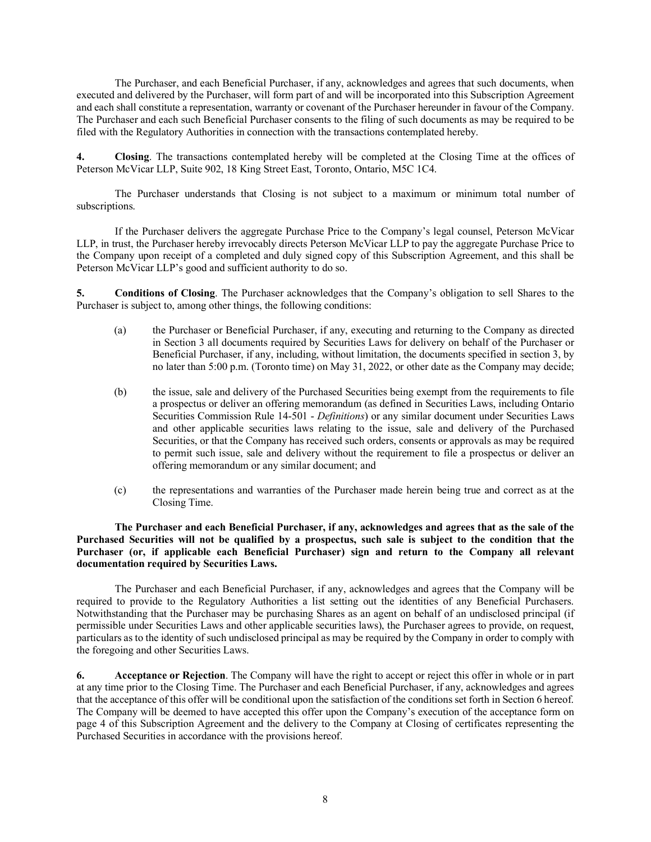The Purchaser, and each Beneficial Purchaser, if any, acknowledges and agrees that such documents, when executed and delivered by the Purchaser, will form part of and will be incorporated into this Subscription Agreement and each shall constitute a representation, warranty or covenant of the Purchaser hereunder in favour of the Company. The Purchaser and each such Beneficial Purchaser consents to the filing of such documents as may be required to be filed with the Regulatory Authorities in connection with the transactions contemplated hereby.

**4. Closing**. The transactions contemplated hereby will be completed at the Closing Time at the offices of Peterson McVicar LLP, Suite 902, 18 King Street East, Toronto, Ontario, M5C 1C4.

The Purchaser understands that Closing is not subject to a maximum or minimum total number of subscriptions.

If the Purchaser delivers the aggregate Purchase Price to the Company's legal counsel, Peterson McVicar LLP, in trust, the Purchaser hereby irrevocably directs Peterson McVicar LLP to pay the aggregate Purchase Price to the Company upon receipt of a completed and duly signed copy of this Subscription Agreement, and this shall be Peterson McVicar LLP's good and sufficient authority to do so.

<span id="page-7-0"></span>**5. Conditions of Closing**. The Purchaser acknowledges that the Company's obligation to sell Shares to the Purchaser is subject to, among other things, the following conditions:

- (a) the Purchaser or Beneficial Purchaser, if any, executing and returning to the Company as directed in Section 3 all documents required by Securities Laws for delivery on behalf of the Purchaser or Beneficial Purchaser, if any, including, without limitation, the documents specified in section 3, by no later than 5:00 p.m. (Toronto time) on May 31, 2022, or other date as the Company may decide;
- (b) the issue, sale and delivery of the Purchased Securities being exempt from the requirements to file a prospectus or deliver an offering memorandum (as defined in Securities Laws, including Ontario Securities Commission Rule 14-501 - *Definitions*) or any similar document under Securities Laws and other applicable securities laws relating to the issue, sale and delivery of the Purchased Securities, or that the Company has received such orders, consents or approvals as may be required to permit such issue, sale and delivery without the requirement to file a prospectus or deliver an offering memorandum or any similar document; and
- (c) the representations and warranties of the Purchaser made herein being true and correct as at the Closing Time.

#### **The Purchaser and each Beneficial Purchaser, if any, acknowledges and agrees that as the sale of the Purchased Securities will not be qualified by a prospectus, such sale is subject to the condition that the Purchaser (or, if applicable each Beneficial Purchaser) sign and return to the Company all relevant documentation required by Securities Laws.**

The Purchaser and each Beneficial Purchaser, if any, acknowledges and agrees that the Company will be required to provide to the Regulatory Authorities a list setting out the identities of any Beneficial Purchasers. Notwithstanding that the Purchaser may be purchasing Shares as an agent on behalf of an undisclosed principal (if permissible under Securities Laws and other applicable securities laws), the Purchaser agrees to provide, on request, particulars as to the identity of such undisclosed principal as may be required by the Company in order to comply with the foregoing and other Securities Laws.

**6. Acceptance or Rejection**. The Company will have the right to accept or reject this offer in whole or in part at any time prior to the Closing Time. The Purchaser and each Beneficial Purchaser, if any, acknowledges and agrees that the acceptance of this offer will be conditional upon the satisfaction of the conditions set forth in Section [6](#page-7-0) hereof. The Company will be deemed to have accepted this offer upon the Company's execution of the acceptance form on page 4 of this Subscription Agreement and the delivery to the Company at Closing of certificates representing the Purchased Securities in accordance with the provisions hereof.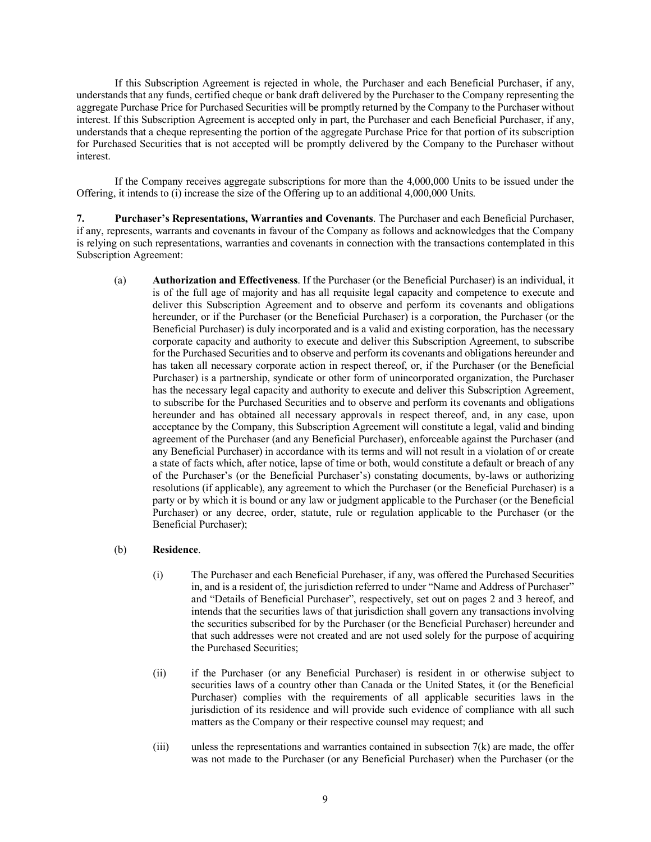If this Subscription Agreement is rejected in whole, the Purchaser and each Beneficial Purchaser, if any, understands that any funds, certified cheque or bank draft delivered by the Purchaser to the Company representing the aggregate Purchase Price for Purchased Securities will be promptly returned by the Company to the Purchaser without interest. If this Subscription Agreement is accepted only in part, the Purchaser and each Beneficial Purchaser, if any, understands that a cheque representing the portion of the aggregate Purchase Price for that portion of its subscription for Purchased Securities that is not accepted will be promptly delivered by the Company to the Purchaser without interest.

If the Company receives aggregate subscriptions for more than the 4,000,000 Units to be issued under the Offering, it intends to (i) increase the size of the Offering up to an additional 4,000,000 Units.

**7. Purchaser's Representations, Warranties and Covenants**. The Purchaser and each Beneficial Purchaser, if any, represents, warrants and covenants in favour of the Company as follows and acknowledges that the Company is relying on such representations, warranties and covenants in connection with the transactions contemplated in this Subscription Agreement:

(a) **Authorization and Effectiveness**. If the Purchaser (or the Beneficial Purchaser) is an individual, it is of the full age of majority and has all requisite legal capacity and competence to execute and deliver this Subscription Agreement and to observe and perform its covenants and obligations hereunder, or if the Purchaser (or the Beneficial Purchaser) is a corporation, the Purchaser (or the Beneficial Purchaser) is duly incorporated and is a valid and existing corporation, has the necessary corporate capacity and authority to execute and deliver this Subscription Agreement, to subscribe for the Purchased Securities and to observe and perform its covenants and obligations hereunder and has taken all necessary corporate action in respect thereof, or, if the Purchaser (or the Beneficial Purchaser) is a partnership, syndicate or other form of unincorporated organization, the Purchaser has the necessary legal capacity and authority to execute and deliver this Subscription Agreement, to subscribe for the Purchased Securities and to observe and perform its covenants and obligations hereunder and has obtained all necessary approvals in respect thereof, and, in any case, upon acceptance by the Company, this Subscription Agreement will constitute a legal, valid and binding agreement of the Purchaser (and any Beneficial Purchaser), enforceable against the Purchaser (and any Beneficial Purchaser) in accordance with its terms and will not result in a violation of or create a state of facts which, after notice, lapse of time or both, would constitute a default or breach of any of the Purchaser's (or the Beneficial Purchaser's) constating documents, by-laws or authorizing resolutions (if applicable), any agreement to which the Purchaser (or the Beneficial Purchaser) is a party or by which it is bound or any law or judgment applicable to the Purchaser (or the Beneficial Purchaser) or any decree, order, statute, rule or regulation applicable to the Purchaser (or the Beneficial Purchaser);

### (b) **Residence**.

- (i) The Purchaser and each Beneficial Purchaser, if any, was offered the Purchased Securities in, and is a resident of, the jurisdiction referred to under "Name and Address of Purchaser" and "Details of Beneficial Purchaser", respectively, set out on pages 2 and 3 hereof, and intends that the securities laws of that jurisdiction shall govern any transactions involving the securities subscribed for by the Purchaser (or the Beneficial Purchaser) hereunder and that such addresses were not created and are not used solely for the purpose of acquiring the Purchased Securities;
- (ii) if the Purchaser (or any Beneficial Purchaser) is resident in or otherwise subject to securities laws of a country other than Canada or the United States, it (or the Beneficial Purchaser) complies with the requirements of all applicable securities laws in the jurisdiction of its residence and will provide such evidence of compliance with all such matters as the Company or their respective counsel may request; and
- (iii) unless the representations and warranties contained in subsection [7\(k\)](#page-10-1) are made, the offer was not made to the Purchaser (or any Beneficial Purchaser) when the Purchaser (or the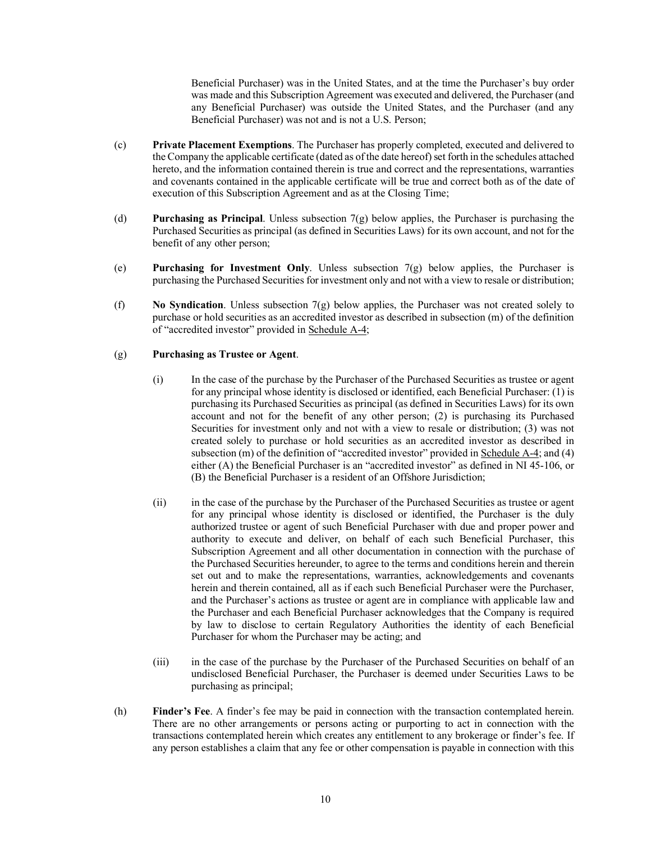Beneficial Purchaser) was in the United States, and at the time the Purchaser's buy order was made and this Subscription Agreement was executed and delivered, the Purchaser (and any Beneficial Purchaser) was outside the United States, and the Purchaser (and any Beneficial Purchaser) was not and is not a U.S. Person;

- (c) **Private Placement Exemptions**. The Purchaser has properly completed, executed and delivered to the Company the applicable certificate (dated as of the date hereof) set forth in the schedules attached hereto, and the information contained therein is true and correct and the representations, warranties and covenants contained in the applicable certificate will be true and correct both as of the date of execution of this Subscription Agreement and as at the Closing Time;
- (d) **Purchasing as Principal**. Unless subsection [7\(g\)](#page-9-0) below applies, the Purchaser is purchasing the Purchased Securities as principal (as defined in Securities Laws) for its own account, and not for the benefit of any other person;
- (e) **Purchasing for Investment Only**. Unless subsection [7\(g\)](#page-9-0) below applies, the Purchaser is purchasing the Purchased Securities for investment only and not with a view to resale or distribution;
- (f) **No Syndication**. Unless subsection [7\(g\)](#page-9-0) below applies, the Purchaser was not created solely to purchase or hold securities as an accredited investor as described in subsection (m) of the definition of "accredited investor" provided in Schedule A-4;

#### <span id="page-9-0"></span>(g) **Purchasing as Trustee or Agent**.

- (i) In the case of the purchase by the Purchaser of the Purchased Securities as trustee or agent for any principal whose identity is disclosed or identified, each Beneficial Purchaser:  $(1)$  is purchasing its Purchased Securities as principal (as defined in Securities Laws) for its own account and not for the benefit of any other person; (2) is purchasing its Purchased Securities for investment only and not with a view to resale or distribution; (3) was not created solely to purchase or hold securities as an accredited investor as described in subsection (m) of the definition of "accredited investor" provided in Schedule A-4; and (4) either (A) the Beneficial Purchaser is an "accredited investor" as defined in NI 45-106, or (B) the Beneficial Purchaser is a resident of an Offshore Jurisdiction;
- (ii) in the case of the purchase by the Purchaser of the Purchased Securities as trustee or agent for any principal whose identity is disclosed or identified, the Purchaser is the duly authorized trustee or agent of such Beneficial Purchaser with due and proper power and authority to execute and deliver, on behalf of each such Beneficial Purchaser, this Subscription Agreement and all other documentation in connection with the purchase of the Purchased Securities hereunder, to agree to the terms and conditions herein and therein set out and to make the representations, warranties, acknowledgements and covenants herein and therein contained, all as if each such Beneficial Purchaser were the Purchaser, and the Purchaser's actions as trustee or agent are in compliance with applicable law and the Purchaser and each Beneficial Purchaser acknowledges that the Company is required by law to disclose to certain Regulatory Authorities the identity of each Beneficial Purchaser for whom the Purchaser may be acting; and
- (iii) in the case of the purchase by the Purchaser of the Purchased Securities on behalf of an undisclosed Beneficial Purchaser, the Purchaser is deemed under Securities Laws to be purchasing as principal;
- (h) **Finder's Fee**. A finder's fee may be paid in connection with the transaction contemplated herein. There are no other arrangements or persons acting or purporting to act in connection with the transactions contemplated herein which creates any entitlement to any brokerage or finder's fee. If any person establishes a claim that any fee or other compensation is payable in connection with this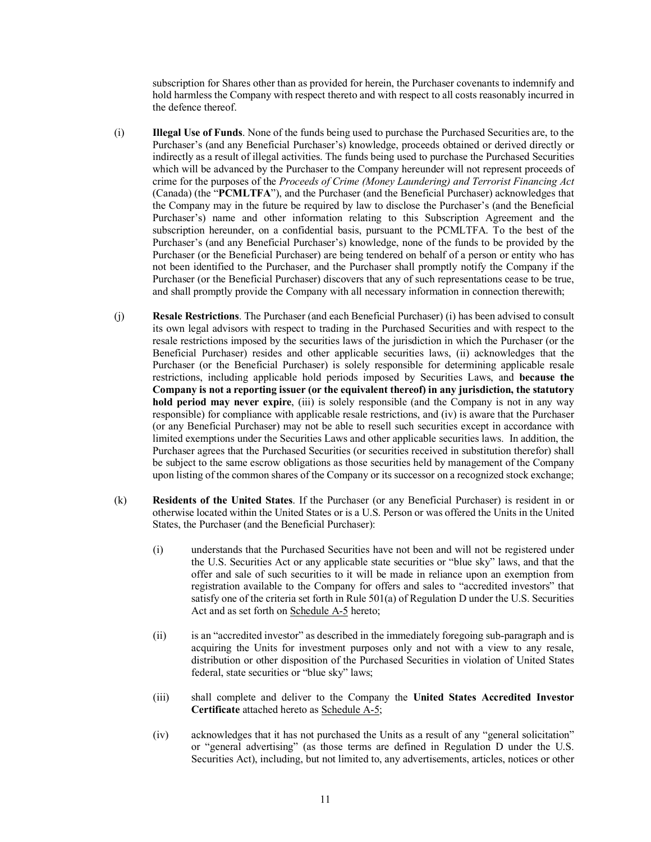subscription for Shares other than as provided for herein, the Purchaser covenants to indemnify and hold harmless the Company with respect thereto and with respect to all costs reasonably incurred in the defence thereof.

- <span id="page-10-0"></span>(i) **Illegal Use of Funds**. None of the funds being used to purchase the Purchased Securities are, to the Purchaser's (and any Beneficial Purchaser's) knowledge, proceeds obtained or derived directly or indirectly as a result of illegal activities. The funds being used to purchase the Purchased Securities which will be advanced by the Purchaser to the Company hereunder will not represent proceeds of crime for the purposes of the *Proceeds of Crime (Money Laundering) and Terrorist Financing Act* (Canada) (the "**PCMLTFA**"), and the Purchaser (and the Beneficial Purchaser) acknowledges that the Company may in the future be required by law to disclose the Purchaser's (and the Beneficial Purchaser's) name and other information relating to this Subscription Agreement and the subscription hereunder, on a confidential basis, pursuant to the PCMLTFA. To the best of the Purchaser's (and any Beneficial Purchaser's) knowledge, none of the funds to be provided by the Purchaser (or the Beneficial Purchaser) are being tendered on behalf of a person or entity who has not been identified to the Purchaser, and the Purchaser shall promptly notify the Company if the Purchaser (or the Beneficial Purchaser) discovers that any of such representations cease to be true, and shall promptly provide the Company with all necessary information in connection therewith;
- (j) **Resale Restrictions**. The Purchaser (and each Beneficial Purchaser) (i) has been advised to consult its own legal advisors with respect to trading in the Purchased Securities and with respect to the resale restrictions imposed by the securities laws of the jurisdiction in which the Purchaser (or the Beneficial Purchaser) resides and other applicable securities laws, (ii) acknowledges that the Purchaser (or the Beneficial Purchaser) is solely responsible for determining applicable resale restrictions, including applicable hold periods imposed by Securities Laws, and **because the Company is not a reporting issuer (or the equivalent thereof) in any jurisdiction, the statutory hold period may never expire**, (iii) is solely responsible (and the Company is not in any way responsible) for compliance with applicable resale restrictions, and (iv) is aware that the Purchaser (or any Beneficial Purchaser) may not be able to resell such securities except in accordance with limited exemptions under the Securities Laws and other applicable securities laws. In addition, the Purchaser agrees that the Purchased Securities (or securities received in substitution therefor) shall be subject to the same escrow obligations as those securities held by management of the Company upon listing of the common shares of the Company or its successor on a recognized stock exchange;
- <span id="page-10-1"></span>(k) **Residents of the United States**. If the Purchaser (or any Beneficial Purchaser) is resident in or otherwise located within the United States or is a U.S. Person or was offered the Units in the United States, the Purchaser (and the Beneficial Purchaser):
	- (i) understands that the Purchased Securities have not been and will not be registered under the U.S. Securities Act or any applicable state securities or "blue sky" laws, and that the offer and sale of such securities to it will be made in reliance upon an exemption from registration available to the Company for offers and sales to "accredited investors" that satisfy one of the criteria set forth in Rule 501(a) of Regulation D under the U.S. Securities Act and as set forth on Schedule A-5 hereto;
	- (ii) is an "accredited investor" as described in the immediately foregoing sub-paragraph and is acquiring the Units for investment purposes only and not with a view to any resale, distribution or other disposition of the Purchased Securities in violation of United States federal, state securities or "blue sky" laws;
	- (iii) shall complete and deliver to the Company the **United States Accredited Investor Certificate** attached hereto as Schedule A-5;
	- (iv) acknowledges that it has not purchased the Units as a result of any "general solicitation" or "general advertising" (as those terms are defined in Regulation D under the U.S. Securities Act), including, but not limited to, any advertisements, articles, notices or other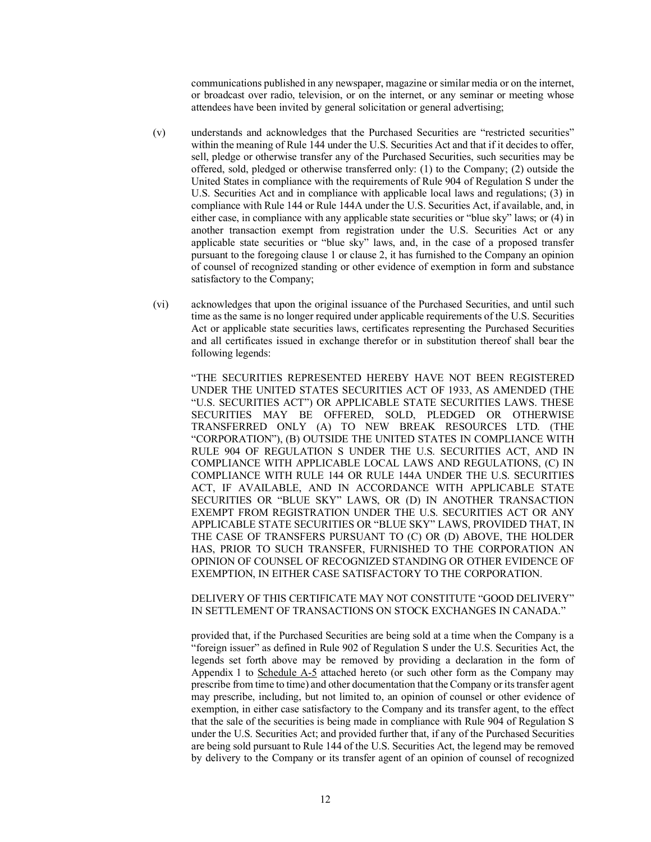communications published in any newspaper, magazine or similar media or on the internet, or broadcast over radio, television, or on the internet, or any seminar or meeting whose attendees have been invited by general solicitation or general advertising;

- (v) understands and acknowledges that the Purchased Securities are "restricted securities" within the meaning of Rule 144 under the U.S. Securities Act and that if it decides to offer, sell, pledge or otherwise transfer any of the Purchased Securities, such securities may be offered, sold, pledged or otherwise transferred only: (1) to the Company; (2) outside the United States in compliance with the requirements of Rule 904 of Regulation S under the U.S. Securities Act and in compliance with applicable local laws and regulations; (3) in compliance with Rule 144 or Rule 144A under the U.S. Securities Act, if available, and, in either case, in compliance with any applicable state securities or "blue sky" laws; or (4) in another transaction exempt from registration under the U.S. Securities Act or any applicable state securities or "blue sky" laws, and, in the case of a proposed transfer pursuant to the foregoing clause 1 or clause 2, it has furnished to the Company an opinion of counsel of recognized standing or other evidence of exemption in form and substance satisfactory to the Company;
- (vi) acknowledges that upon the original issuance of the Purchased Securities, and until such time as the same is no longer required under applicable requirements of the U.S. Securities Act or applicable state securities laws, certificates representing the Purchased Securities and all certificates issued in exchange therefor or in substitution thereof shall bear the following legends:

"THE SECURITIES REPRESENTED HEREBY HAVE NOT BEEN REGISTERED UNDER THE UNITED STATES SECURITIES ACT OF 1933, AS AMENDED (THE "U.S. SECURITIES ACT") OR APPLICABLE STATE SECURITIES LAWS. THESE SECURITIES MAY BE OFFERED, SOLD, PLEDGED OR OTHERWISE TRANSFERRED ONLY (A) TO NEW BREAK RESOURCES LTD. (THE "CORPORATION"), (B) OUTSIDE THE UNITED STATES IN COMPLIANCE WITH RULE 904 OF REGULATION S UNDER THE U.S. SECURITIES ACT, AND IN COMPLIANCE WITH APPLICABLE LOCAL LAWS AND REGULATIONS, (C) IN COMPLIANCE WITH RULE 144 OR RULE 144A UNDER THE U.S. SECURITIES ACT, IF AVAILABLE, AND IN ACCORDANCE WITH APPLICABLE STATE SECURITIES OR "BLUE SKY" LAWS, OR (D) IN ANOTHER TRANSACTION EXEMPT FROM REGISTRATION UNDER THE U.S. SECURITIES ACT OR ANY APPLICABLE STATE SECURITIES OR "BLUE SKY" LAWS, PROVIDED THAT, IN THE CASE OF TRANSFERS PURSUANT TO (C) OR (D) ABOVE, THE HOLDER HAS, PRIOR TO SUCH TRANSFER, FURNISHED TO THE CORPORATION AN OPINION OF COUNSEL OF RECOGNIZED STANDING OR OTHER EVIDENCE OF EXEMPTION, IN EITHER CASE SATISFACTORY TO THE CORPORATION.

DELIVERY OF THIS CERTIFICATE MAY NOT CONSTITUTE "GOOD DELIVERY" IN SETTLEMENT OF TRANSACTIONS ON STOCK EXCHANGES IN CANADA."

provided that, if the Purchased Securities are being sold at a time when the Company is a "foreign issuer" as defined in Rule 902 of Regulation S under the U.S. Securities Act, the legends set forth above may be removed by providing a declaration in the form of Appendix 1 to Schedule A-5 attached hereto (or such other form as the Company may prescribe from time to time) and other documentation that the Company or its transfer agent may prescribe, including, but not limited to, an opinion of counsel or other evidence of exemption, in either case satisfactory to the Company and its transfer agent, to the effect that the sale of the securities is being made in compliance with Rule 904 of Regulation S under the U.S. Securities Act; and provided further that, if any of the Purchased Securities are being sold pursuant to Rule 144 of the U.S. Securities Act, the legend may be removed by delivery to the Company or its transfer agent of an opinion of counsel of recognized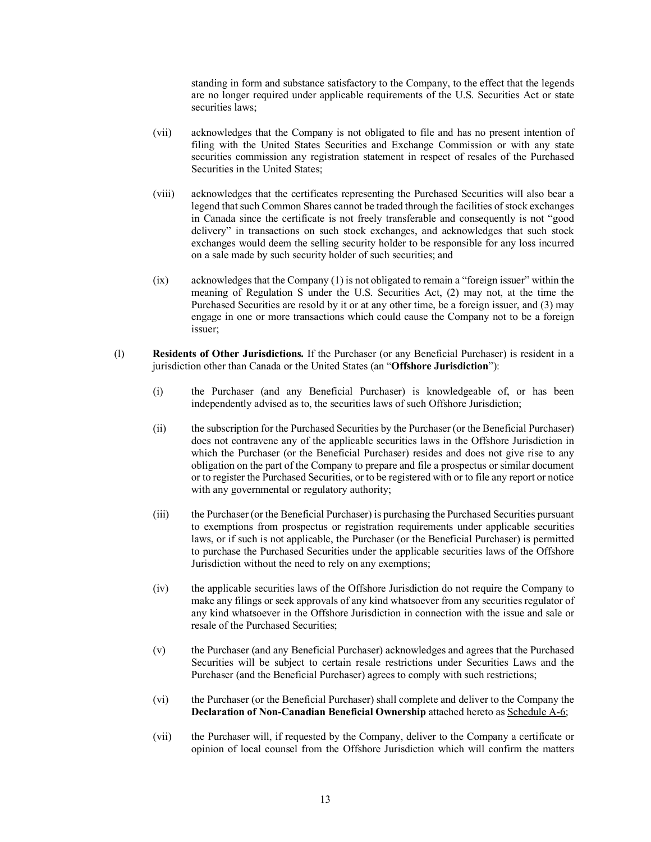standing in form and substance satisfactory to the Company, to the effect that the legends are no longer required under applicable requirements of the U.S. Securities Act or state securities laws;

- (vii) acknowledges that the Company is not obligated to file and has no present intention of filing with the United States Securities and Exchange Commission or with any state securities commission any registration statement in respect of resales of the Purchased Securities in the United States;
- (viii) acknowledges that the certificates representing the Purchased Securities will also bear a legend that such Common Shares cannot be traded through the facilities of stock exchanges in Canada since the certificate is not freely transferable and consequently is not "good delivery" in transactions on such stock exchanges, and acknowledges that such stock exchanges would deem the selling security holder to be responsible for any loss incurred on a sale made by such security holder of such securities; and
- (ix) acknowledges that the Company (1) is not obligated to remain a "foreign issuer" within the meaning of Regulation S under the U.S. Securities Act, (2) may not, at the time the Purchased Securities are resold by it or at any other time, be a foreign issuer, and (3) may engage in one or more transactions which could cause the Company not to be a foreign issuer;
- <span id="page-12-0"></span>(l) **Residents of Other Jurisdictions.** If the Purchaser (or any Beneficial Purchaser) is resident in a jurisdiction other than Canada or the United States (an "**Offshore Jurisdiction**"):
	- (i) the Purchaser (and any Beneficial Purchaser) is knowledgeable of, or has been independently advised as to, the securities laws of such Offshore Jurisdiction;
	- (ii) the subscription for the Purchased Securities by the Purchaser (or the Beneficial Purchaser) does not contravene any of the applicable securities laws in the Offshore Jurisdiction in which the Purchaser (or the Beneficial Purchaser) resides and does not give rise to any obligation on the part of the Company to prepare and file a prospectus or similar document or to register the Purchased Securities, or to be registered with or to file any report or notice with any governmental or regulatory authority;
	- (iii) the Purchaser (or the Beneficial Purchaser) is purchasing the Purchased Securities pursuant to exemptions from prospectus or registration requirements under applicable securities laws, or if such is not applicable, the Purchaser (or the Beneficial Purchaser) is permitted to purchase the Purchased Securities under the applicable securities laws of the Offshore Jurisdiction without the need to rely on any exemptions;
	- (iv) the applicable securities laws of the Offshore Jurisdiction do not require the Company to make any filings or seek approvals of any kind whatsoever from any securities regulator of any kind whatsoever in the Offshore Jurisdiction in connection with the issue and sale or resale of the Purchased Securities;
	- (v) the Purchaser (and any Beneficial Purchaser) acknowledges and agrees that the Purchased Securities will be subject to certain resale restrictions under Securities Laws and the Purchaser (and the Beneficial Purchaser) agrees to comply with such restrictions;
	- (vi) the Purchaser (or the Beneficial Purchaser) shall complete and deliver to the Company the **Declaration of Non-Canadian Beneficial Ownership** attached hereto as **Schedule A-6**;
	- (vii) the Purchaser will, if requested by the Company, deliver to the Company a certificate or opinion of local counsel from the Offshore Jurisdiction which will confirm the matters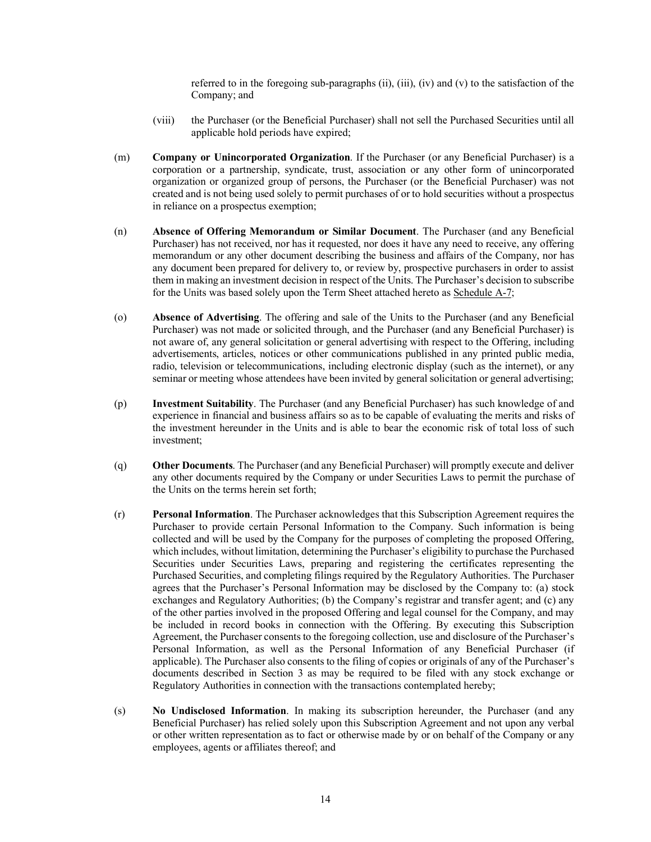referred to in the foregoing sub-paragraphs (ii), (iii), (iv) and (v) to the satisfaction of the Company; and

- (viii) the Purchaser (or the Beneficial Purchaser) shall not sell the Purchased Securities until all applicable hold periods have expired;
- (m) **Company or Unincorporated Organization**. If the Purchaser (or any Beneficial Purchaser) is a corporation or a partnership, syndicate, trust, association or any other form of unincorporated organization or organized group of persons, the Purchaser (or the Beneficial Purchaser) was not created and is not being used solely to permit purchases of or to hold securities without a prospectus in reliance on a prospectus exemption;
- (n) **Absence of Offering Memorandum or Similar Document**. The Purchaser (and any Beneficial Purchaser) has not received, nor has it requested, nor does it have any need to receive, any offering memorandum or any other document describing the business and affairs of the Company, nor has any document been prepared for delivery to, or review by, prospective purchasers in order to assist them in making an investment decision in respect of the Units. The Purchaser's decision to subscribe for the Units was based solely upon the Term Sheet attached hereto as Schedule A-7;
- (o) **Absence of Advertising**. The offering and sale of the Units to the Purchaser (and any Beneficial Purchaser) was not made or solicited through, and the Purchaser (and any Beneficial Purchaser) is not aware of, any general solicitation or general advertising with respect to the Offering, including advertisements, articles, notices or other communications published in any printed public media, radio, television or telecommunications, including electronic display (such as the internet), or any seminar or meeting whose attendees have been invited by general solicitation or general advertising;
- (p) **Investment Suitability**. The Purchaser (and any Beneficial Purchaser) has such knowledge of and experience in financial and business affairs so as to be capable of evaluating the merits and risks of the investment hereunder in the Units and is able to bear the economic risk of total loss of such investment;
- (q) **Other Documents**. The Purchaser (and any Beneficial Purchaser) will promptly execute and deliver any other documents required by the Company or under Securities Laws to permit the purchase of the Units on the terms herein set forth;
- (r) **Personal Information**. The Purchaser acknowledges that this Subscription Agreement requires the Purchaser to provide certain Personal Information to the Company. Such information is being collected and will be used by the Company for the purposes of completing the proposed Offering, which includes, without limitation, determining the Purchaser's eligibility to purchase the Purchased Securities under Securities Laws, preparing and registering the certificates representing the Purchased Securities, and completing filings required by the Regulatory Authorities. The Purchaser agrees that the Purchaser's Personal Information may be disclosed by the Company to: (a) stock exchanges and Regulatory Authorities; (b) the Company's registrar and transfer agent; and (c) any of the other parties involved in the proposed Offering and legal counsel for the Company, and may be included in record books in connection with the Offering. By executing this Subscription Agreement, the Purchaser consents to the foregoing collection, use and disclosure of the Purchaser's Personal Information, as well as the Personal Information of any Beneficial Purchaser (if applicable). The Purchaser also consents to the filing of copies or originals of any of the Purchaser's documents described in Section 3 as may be required to be filed with any stock exchange or Regulatory Authorities in connection with the transactions contemplated hereby;
- (s) **No Undisclosed Information**. In making its subscription hereunder, the Purchaser (and any Beneficial Purchaser) has relied solely upon this Subscription Agreement and not upon any verbal or other written representation as to fact or otherwise made by or on behalf of the Company or any employees, agents or affiliates thereof; and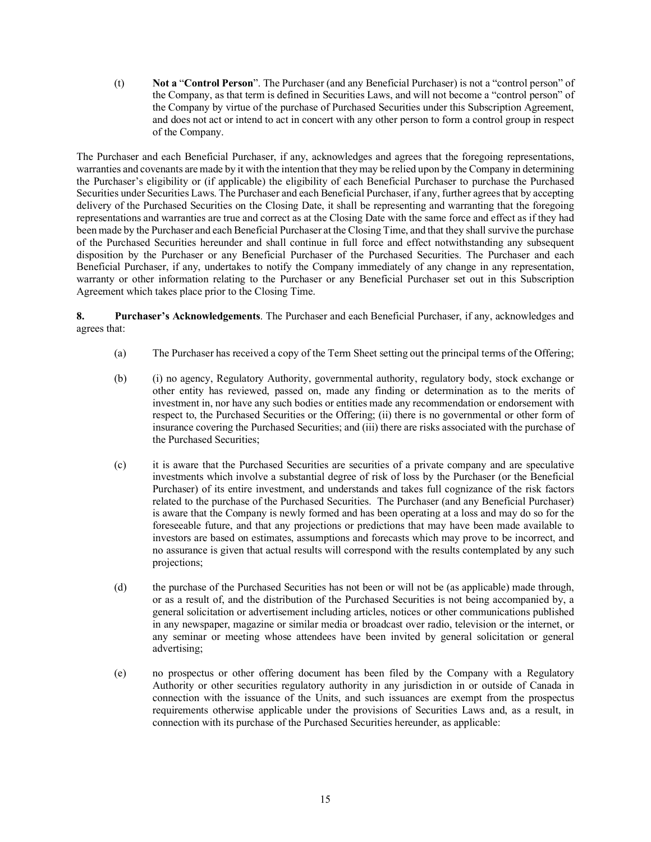(t) **Not a** "**Control Person**". The Purchaser (and any Beneficial Purchaser) is not a "control person" of the Company, as that term is defined in Securities Laws, and will not become a "control person" of the Company by virtue of the purchase of Purchased Securities under this Subscription Agreement, and does not act or intend to act in concert with any other person to form a control group in respect of the Company.

The Purchaser and each Beneficial Purchaser, if any, acknowledges and agrees that the foregoing representations, warranties and covenants are made by it with the intention that they may be relied upon by the Company in determining the Purchaser's eligibility or (if applicable) the eligibility of each Beneficial Purchaser to purchase the Purchased Securities under Securities Laws. The Purchaser and each Beneficial Purchaser, if any, further agrees that by accepting delivery of the Purchased Securities on the Closing Date, it shall be representing and warranting that the foregoing representations and warranties are true and correct as at the Closing Date with the same force and effect as if they had been made by the Purchaser and each Beneficial Purchaser at the Closing Time, and that they shall survive the purchase of the Purchased Securities hereunder and shall continue in full force and effect notwithstanding any subsequent disposition by the Purchaser or any Beneficial Purchaser of the Purchased Securities. The Purchaser and each Beneficial Purchaser, if any, undertakes to notify the Company immediately of any change in any representation, warranty or other information relating to the Purchaser or any Beneficial Purchaser set out in this Subscription Agreement which takes place prior to the Closing Time.

**8. Purchaser's Acknowledgements**. The Purchaser and each Beneficial Purchaser, if any, acknowledges and agrees that:

- (a) The Purchaser has received a copy of the Term Sheet setting out the principal terms of the Offering;
- (b) (i) no agency, Regulatory Authority, governmental authority, regulatory body, stock exchange or other entity has reviewed, passed on, made any finding or determination as to the merits of investment in, nor have any such bodies or entities made any recommendation or endorsement with respect to, the Purchased Securities or the Offering; (ii) there is no governmental or other form of insurance covering the Purchased Securities; and (iii) there are risks associated with the purchase of the Purchased Securities;
- (c) it is aware that the Purchased Securities are securities of a private company and are speculative investments which involve a substantial degree of risk of loss by the Purchaser (or the Beneficial Purchaser) of its entire investment, and understands and takes full cognizance of the risk factors related to the purchase of the Purchased Securities. The Purchaser (and any Beneficial Purchaser) is aware that the Company is newly formed and has been operating at a loss and may do so for the foreseeable future, and that any projections or predictions that may have been made available to investors are based on estimates, assumptions and forecasts which may prove to be incorrect, and no assurance is given that actual results will correspond with the results contemplated by any such projections;
- (d) the purchase of the Purchased Securities has not been or will not be (as applicable) made through, or as a result of, and the distribution of the Purchased Securities is not being accompanied by, a general solicitation or advertisement including articles, notices or other communications published in any newspaper, magazine or similar media or broadcast over radio, television or the internet, or any seminar or meeting whose attendees have been invited by general solicitation or general advertising;
- (e) no prospectus or other offering document has been filed by the Company with a Regulatory Authority or other securities regulatory authority in any jurisdiction in or outside of Canada in connection with the issuance of the Units, and such issuances are exempt from the prospectus requirements otherwise applicable under the provisions of Securities Laws and, as a result, in connection with its purchase of the Purchased Securities hereunder, as applicable: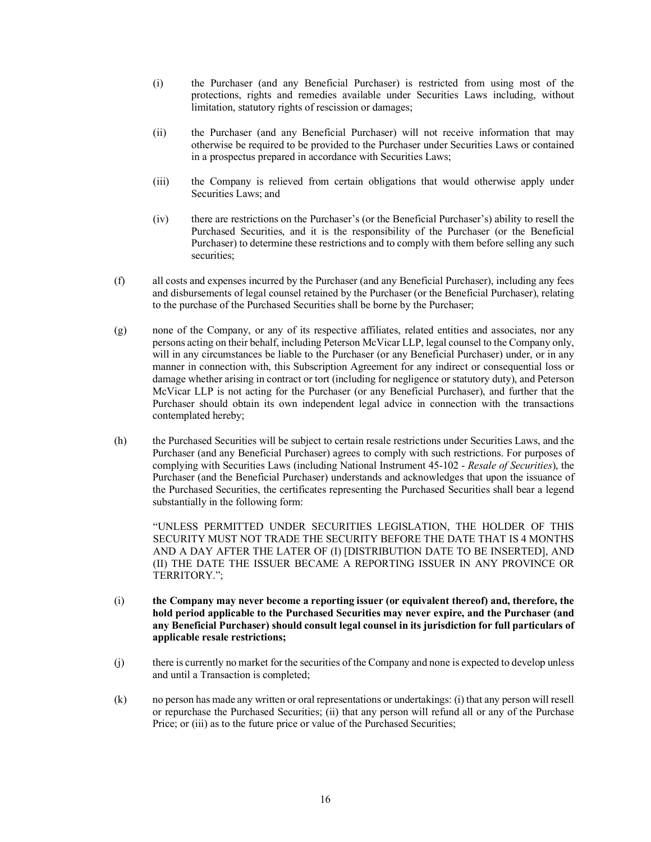- (i) the Purchaser (and any Beneficial Purchaser) is restricted from using most of the protections, rights and remedies available under Securities Laws including, without limitation, statutory rights of rescission or damages;
- (ii) the Purchaser (and any Beneficial Purchaser) will not receive information that may otherwise be required to be provided to the Purchaser under Securities Laws or contained in a prospectus prepared in accordance with Securities Laws;
- (iii) the Company is relieved from certain obligations that would otherwise apply under Securities Laws; and
- (iv) there are restrictions on the Purchaser's (or the Beneficial Purchaser's) ability to resell the Purchased Securities, and it is the responsibility of the Purchaser (or the Beneficial Purchaser) to determine these restrictions and to comply with them before selling any such securities;
- (f) all costs and expenses incurred by the Purchaser (and any Beneficial Purchaser), including any fees and disbursements of legal counsel retained by the Purchaser (or the Beneficial Purchaser), relating to the purchase of the Purchased Securities shall be borne by the Purchaser;
- (g) none of the Company, or any of its respective affiliates, related entities and associates, nor any persons acting on their behalf, including Peterson McVicar LLP, legal counsel to the Company only, will in any circumstances be liable to the Purchaser (or any Beneficial Purchaser) under, or in any manner in connection with, this Subscription Agreement for any indirect or consequential loss or damage whether arising in contract or tort (including for negligence or statutory duty), and Peterson McVicar LLP is not acting for the Purchaser (or any Beneficial Purchaser), and further that the Purchaser should obtain its own independent legal advice in connection with the transactions contemplated hereby;
- (h) the Purchased Securities will be subject to certain resale restrictions under Securities Laws, and the Purchaser (and any Beneficial Purchaser) agrees to comply with such restrictions. For purposes of complying with Securities Laws (including National Instrument 45-102 - *Resale of Securities*), the Purchaser (and the Beneficial Purchaser) understands and acknowledges that upon the issuance of the Purchased Securities, the certificates representing the Purchased Securities shall bear a legend substantially in the following form:

"UNLESS PERMITTED UNDER SECURITIES LEGISLATION, THE HOLDER OF THIS SECURITY MUST NOT TRADE THE SECURITY BEFORE THE DATE THAT IS 4 MONTHS AND A DAY AFTER THE LATER OF (I) [DISTRIBUTION DATE TO BE INSERTED], AND (II) THE DATE THE ISSUER BECAME A REPORTING ISSUER IN ANY PROVINCE OR TERRITORY.";

- (i) **the Company may never become a reporting issuer (or equivalent thereof) and, therefore, the hold period applicable to the Purchased Securities may never expire, and the Purchaser (and any Beneficial Purchaser) should consult legal counsel in its jurisdiction for full particulars of applicable resale restrictions;**
- (j) there is currently no market for the securities of the Company and none is expected to develop unless and until a Transaction is completed;
- (k) no person has made any written or oral representations or undertakings: (i) that any person will resell or repurchase the Purchased Securities; (ii) that any person will refund all or any of the Purchase Price; or (iii) as to the future price or value of the Purchased Securities;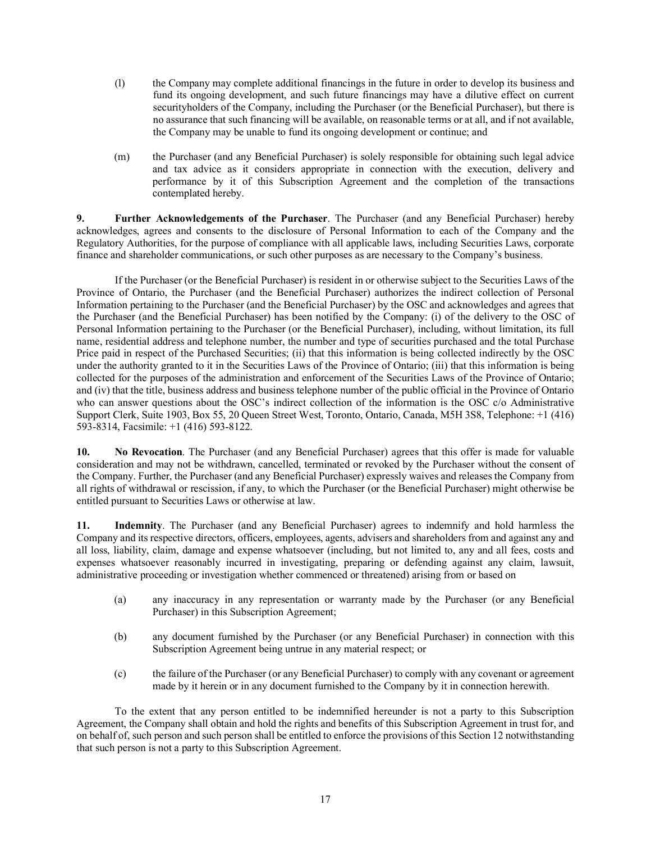- (l) the Company may complete additional financings in the future in order to develop its business and fund its ongoing development, and such future financings may have a dilutive effect on current securityholders of the Company, including the Purchaser (or the Beneficial Purchaser), but there is no assurance that such financing will be available, on reasonable terms or at all, and if not available, the Company may be unable to fund its ongoing development or continue; and
- (m) the Purchaser (and any Beneficial Purchaser) is solely responsible for obtaining such legal advice and tax advice as it considers appropriate in connection with the execution, delivery and performance by it of this Subscription Agreement and the completion of the transactions contemplated hereby.

**9. Further Acknowledgements of the Purchaser**. The Purchaser (and any Beneficial Purchaser) hereby acknowledges, agrees and consents to the disclosure of Personal Information to each of the Company and the Regulatory Authorities, for the purpose of compliance with all applicable laws, including Securities Laws, corporate finance and shareholder communications, or such other purposes as are necessary to the Company's business.

If the Purchaser (or the Beneficial Purchaser) is resident in or otherwise subject to the Securities Laws of the Province of Ontario, the Purchaser (and the Beneficial Purchaser) authorizes the indirect collection of Personal Information pertaining to the Purchaser (and the Beneficial Purchaser) by the OSC and acknowledges and agrees that the Purchaser (and the Beneficial Purchaser) has been notified by the Company: (i) of the delivery to the OSC of Personal Information pertaining to the Purchaser (or the Beneficial Purchaser), including, without limitation, its full name, residential address and telephone number, the number and type of securities purchased and the total Purchase Price paid in respect of the Purchased Securities; (ii) that this information is being collected indirectly by the OSC under the authority granted to it in the Securities Laws of the Province of Ontario; (iii) that this information is being collected for the purposes of the administration and enforcement of the Securities Laws of the Province of Ontario; and (iv) that the title, business address and business telephone number of the public official in the Province of Ontario who can answer questions about the OSC's indirect collection of the information is the OSC c/o Administrative Support Clerk, Suite 1903, Box 55, 20 Queen Street West, Toronto, Ontario, Canada, M5H 3S8, Telephone: +1 (416) 593-8314, Facsimile: +1 (416) 593-8122.

**10. No Revocation**. The Purchaser (and any Beneficial Purchaser) agrees that this offer is made for valuable consideration and may not be withdrawn, cancelled, terminated or revoked by the Purchaser without the consent of the Company. Further, the Purchaser (and any Beneficial Purchaser) expressly waives and releases the Company from all rights of withdrawal or rescission, if any, to which the Purchaser (or the Beneficial Purchaser) might otherwise be entitled pursuant to Securities Laws or otherwise at law.

<span id="page-16-0"></span>**11. Indemnity**. The Purchaser (and any Beneficial Purchaser) agrees to indemnify and hold harmless the Company and its respective directors, officers, employees, agents, advisers and shareholders from and against any and all loss, liability, claim, damage and expense whatsoever (including, but not limited to, any and all fees, costs and expenses whatsoever reasonably incurred in investigating, preparing or defending against any claim, lawsuit, administrative proceeding or investigation whether commenced or threatened) arising from or based on

- (a) any inaccuracy in any representation or warranty made by the Purchaser (or any Beneficial Purchaser) in this Subscription Agreement;
- (b) any document furnished by the Purchaser (or any Beneficial Purchaser) in connection with this Subscription Agreement being untrue in any material respect; or
- (c) the failure of the Purchaser (or any Beneficial Purchaser) to comply with any covenant or agreement made by it herein or in any document furnished to the Company by it in connection herewith.

To the extent that any person entitled to be indemnified hereunder is not a party to this Subscription Agreement, the Company shall obtain and hold the rights and benefits of this Subscription Agreement in trust for, and on behalf of, such person and such person shall be entitled to enforce the provisions of this Sectio[n 12](#page-16-0) notwithstanding that such person is not a party to this Subscription Agreement.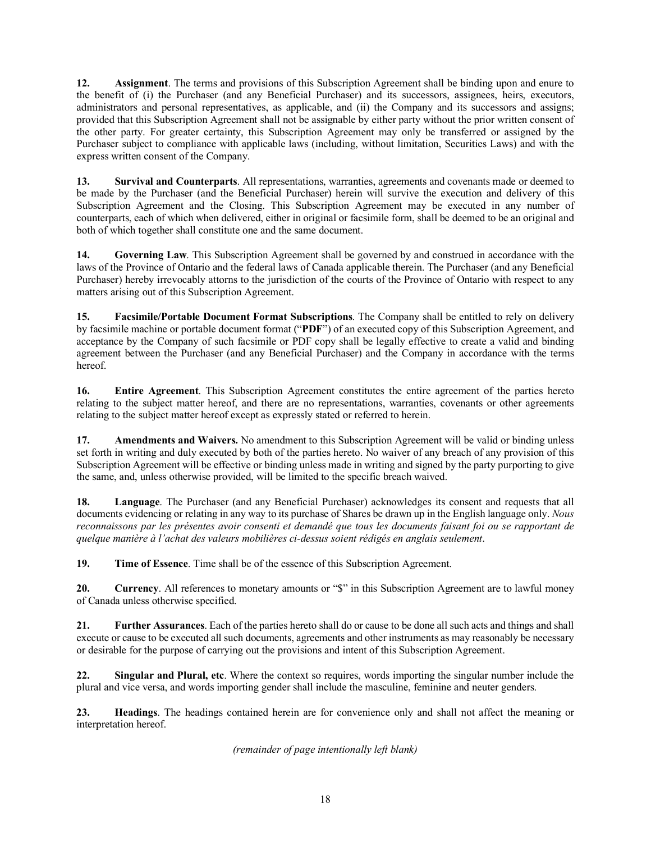**12. Assignment**. The terms and provisions of this Subscription Agreement shall be binding upon and enure to the benefit of (i) the Purchaser (and any Beneficial Purchaser) and its successors, assignees, heirs, executors, administrators and personal representatives, as applicable, and (ii) the Company and its successors and assigns; provided that this Subscription Agreement shall not be assignable by either party without the prior written consent of the other party. For greater certainty, this Subscription Agreement may only be transferred or assigned by the Purchaser subject to compliance with applicable laws (including, without limitation, Securities Laws) and with the express written consent of the Company.

**13. Survival and Counterparts**. All representations, warranties, agreements and covenants made or deemed to be made by the Purchaser (and the Beneficial Purchaser) herein will survive the execution and delivery of this Subscription Agreement and the Closing. This Subscription Agreement may be executed in any number of counterparts, each of which when delivered, either in original or facsimile form, shall be deemed to be an original and both of which together shall constitute one and the same document.

**14. Governing Law**. This Subscription Agreement shall be governed by and construed in accordance with the laws of the Province of Ontario and the federal laws of Canada applicable therein. The Purchaser (and any Beneficial Purchaser) hereby irrevocably attorns to the jurisdiction of the courts of the Province of Ontario with respect to any matters arising out of this Subscription Agreement.

**15. Facsimile/Portable Document Format Subscriptions**. The Company shall be entitled to rely on delivery by facsimile machine or portable document format ("**PDF**") of an executed copy of this Subscription Agreement, and acceptance by the Company of such facsimile or PDF copy shall be legally effective to create a valid and binding agreement between the Purchaser (and any Beneficial Purchaser) and the Company in accordance with the terms hereof.

**16. Entire Agreement**. This Subscription Agreement constitutes the entire agreement of the parties hereto relating to the subject matter hereof, and there are no representations, warranties, covenants or other agreements relating to the subject matter hereof except as expressly stated or referred to herein.

**17. Amendments and Waivers.** No amendment to this Subscription Agreement will be valid or binding unless set forth in writing and duly executed by both of the parties hereto. No waiver of any breach of any provision of this Subscription Agreement will be effective or binding unless made in writing and signed by the party purporting to give the same, and, unless otherwise provided, will be limited to the specific breach waived.

**18. Language**. The Purchaser (and any Beneficial Purchaser) acknowledges its consent and requests that all documents evidencing or relating in any way to its purchase of Shares be drawn up in the English language only. *Nous*  reconnaissons par les présentes avoir consenti et demandé que tous les documents faisant foi ou se rapportant de *quelque manière à l'achat des valeurs mobilières ci-dessus soient rédigés en anglais seulement*.

**19. Time of Essence**. Time shall be of the essence of this Subscription Agreement.

**20. Currency**. All references to monetary amounts or "\$" in this Subscription Agreement are to lawful money of Canada unless otherwise specified.

**21. Further Assurances**. Each of the parties hereto shall do or cause to be done all such acts and things and shall execute or cause to be executed all such documents, agreements and other instruments as may reasonably be necessary or desirable for the purpose of carrying out the provisions and intent of this Subscription Agreement.

**22. Singular and Plural, etc**. Where the context so requires, words importing the singular number include the plural and vice versa, and words importing gender shall include the masculine, feminine and neuter genders.

**23. Headings**. The headings contained herein are for convenience only and shall not affect the meaning or interpretation hereof.

*(remainder of page intentionally left blank)*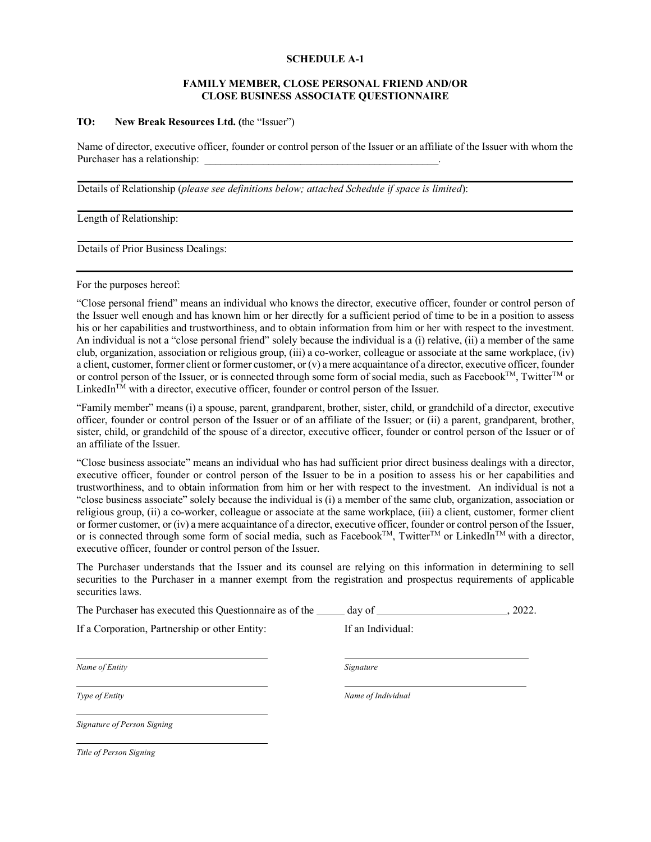#### **SCHEDULE A-1**

#### **FAMILY MEMBER, CLOSE PERSONAL FRIEND AND/OR CLOSE BUSINESS ASSOCIATE QUESTIONNAIRE**

#### **TO: New Break Resources Ltd. (**the "Issuer")

Name of director, executive officer, founder or control person of the Issuer or an affiliate of the Issuer with whom the Purchaser has a relationship:

Details of Relationship (*please see definitions below; attached Schedule if space is limited*):

Length of Relationship:

Details of Prior Business Dealings:

For the purposes hereof:

"Close personal friend" means an individual who knows the director, executive officer, founder or control person of the Issuer well enough and has known him or her directly for a sufficient period of time to be in a position to assess his or her capabilities and trustworthiness, and to obtain information from him or her with respect to the investment. An individual is not a "close personal friend" solely because the individual is a (i) relative, (ii) a member of the same club, organization, association or religious group, (iii) a co-worker, colleague or associate at the same workplace, (iv) a client, customer, former client or former customer, or  $(v)$  a mere acquaintance of a director, executive officer, founder or control person of the Issuer, or is connected through some form of social media, such as Facebook™, Twitter™ or LinkedIn<sup>TM</sup> with a director, executive officer, founder or control person of the Issuer.

"Family member" means (i) a spouse, parent, grandparent, brother, sister, child, or grandchild of a director, executive officer, founder or control person of the Issuer or of an affiliate of the Issuer; or (ii) a parent, grandparent, brother, sister, child, or grandchild of the spouse of a director, executive officer, founder or control person of the Issuer or of an affiliate of the Issuer.

"Close business associate" means an individual who has had sufficient prior direct business dealings with a director, executive officer, founder or control person of the Issuer to be in a position to assess his or her capabilities and trustworthiness, and to obtain information from him or her with respect to the investment. An individual is not a "close business associate" solely because the individual is (i) a member of the same club, organization, association or religious group, (ii) a co-worker, colleague or associate at the same workplace, (iii) a client, customer, former client or former customer, or (iv) a mere acquaintance of a director, executive officer, founder or control person of the Issuer, or is connected through some form of social media, such as Facebook<sup>TM</sup>, Twitter<sup>TM</sup> or LinkedIn<sup>TM</sup> with a director, executive officer, founder or control person of the Issuer.

The Purchaser understands that the Issuer and its counsel are relying on this information in determining to sell securities to the Purchaser in a manner exempt from the registration and prospectus requirements of applicable securities laws.

| The Purchaser has executed this Questionnaire as of the | day of | 2022. |
|---------------------------------------------------------|--------|-------|
|---------------------------------------------------------|--------|-------|

If a Corporation, Partnership or other Entity: If an Individual:

*Name of Entity Signature*

*Type of Entity Name of Individual*

*Signature of Person Signing*

*Title of Person Signing*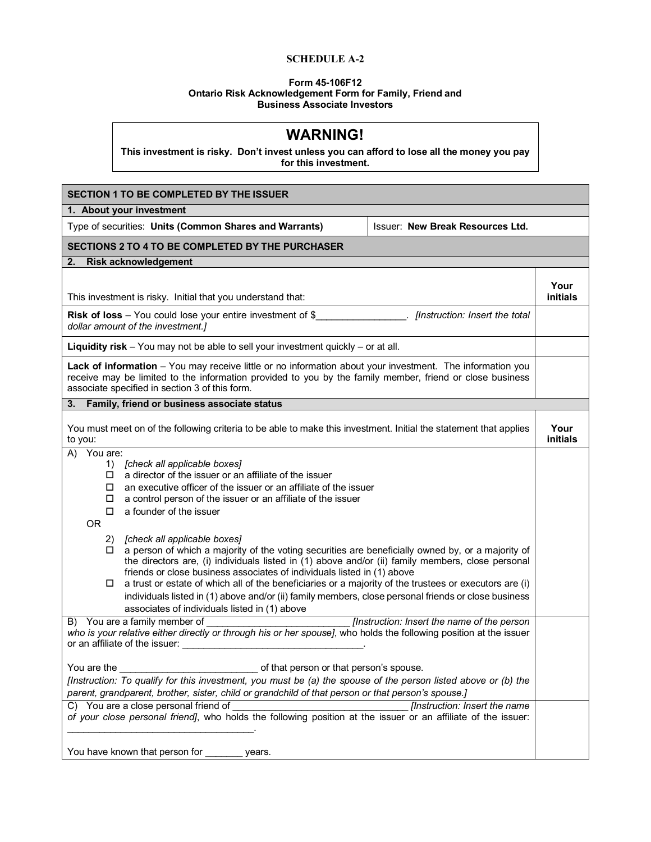# **SCHEDULE A-2**

#### **Form 45-106F12 Ontario Risk Acknowledgement Form for Family, Friend and Business Associate Investors**

# **WARNING!**

#### **This investment is risky. Don't invest unless you can afford to lose all the money you pay for this investment.**

| <b>SECTION 1 TO BE COMPLETED BY THE ISSUER</b>                                                                                                                                                                                                                                                                                                                                                                                                                                                                                                                                                      |                  |  |
|-----------------------------------------------------------------------------------------------------------------------------------------------------------------------------------------------------------------------------------------------------------------------------------------------------------------------------------------------------------------------------------------------------------------------------------------------------------------------------------------------------------------------------------------------------------------------------------------------------|------------------|--|
| 1. About your investment                                                                                                                                                                                                                                                                                                                                                                                                                                                                                                                                                                            |                  |  |
| Type of securities: Units (Common Shares and Warrants)<br><b>Issuer: New Break Resources Ltd.</b>                                                                                                                                                                                                                                                                                                                                                                                                                                                                                                   |                  |  |
| SECTIONS 2 TO 4 TO BE COMPLETED BY THE PURCHASER                                                                                                                                                                                                                                                                                                                                                                                                                                                                                                                                                    |                  |  |
| <b>Risk acknowledgement</b><br>2.                                                                                                                                                                                                                                                                                                                                                                                                                                                                                                                                                                   |                  |  |
| This investment is risky. Initial that you understand that:                                                                                                                                                                                                                                                                                                                                                                                                                                                                                                                                         |                  |  |
| dollar amount of the investment.]                                                                                                                                                                                                                                                                                                                                                                                                                                                                                                                                                                   |                  |  |
| Liquidity risk $-$ You may not be able to sell your investment quickly $-$ or at all.                                                                                                                                                                                                                                                                                                                                                                                                                                                                                                               |                  |  |
| Lack of information - You may receive little or no information about your investment. The information you<br>receive may be limited to the information provided to you by the family member, friend or close business<br>associate specified in section 3 of this form.                                                                                                                                                                                                                                                                                                                             |                  |  |
| Family, friend or business associate status<br>3.                                                                                                                                                                                                                                                                                                                                                                                                                                                                                                                                                   |                  |  |
| You must meet on of the following criteria to be able to make this investment. Initial the statement that applies<br>to you:                                                                                                                                                                                                                                                                                                                                                                                                                                                                        | Your<br>initials |  |
| You are:<br>A)<br>1) [check all applicable boxes]<br>$\Box$ a director of the issuer or an affiliate of the issuer<br>an executive officer of the issuer or an affiliate of the issuer<br>□<br>a control person of the issuer or an affiliate of the issuer<br>□<br>a founder of the issuer<br>□<br><b>OR</b>                                                                                                                                                                                                                                                                                       |                  |  |
| 2) [check all applicable boxes]<br>$\Box$ a person of which a majority of the voting securities are beneficially owned by, or a majority of<br>the directors are, (i) individuals listed in (1) above and/or (ii) family members, close personal<br>friends or close business associates of individuals listed in (1) above<br>a trust or estate of which all of the beneficiaries or a majority of the trustees or executors are (i)<br>0<br>individuals listed in (1) above and/or (ii) family members, close personal friends or close business<br>associates of individuals listed in (1) above |                  |  |
| B) You are a family member of<br>[Instruction: Insert the name of the person<br>who is your relative either directly or through his or her spouse], who holds the following position at the issuer<br>of that person or that person's spouse.<br>You are the<br>[Instruction: To qualify for this investment, you must be (a) the spouse of the person listed above or (b) the<br>parent, grandparent, brother, sister, child or grandchild of that person or that person's spouse.]                                                                                                                |                  |  |
| C) You are a close personal friend of<br><b>Instruction: Insert the name</b><br>of your close personal friend], who holds the following position at the issuer or an affiliate of the issuer:<br>You have known that person for<br>years.                                                                                                                                                                                                                                                                                                                                                           |                  |  |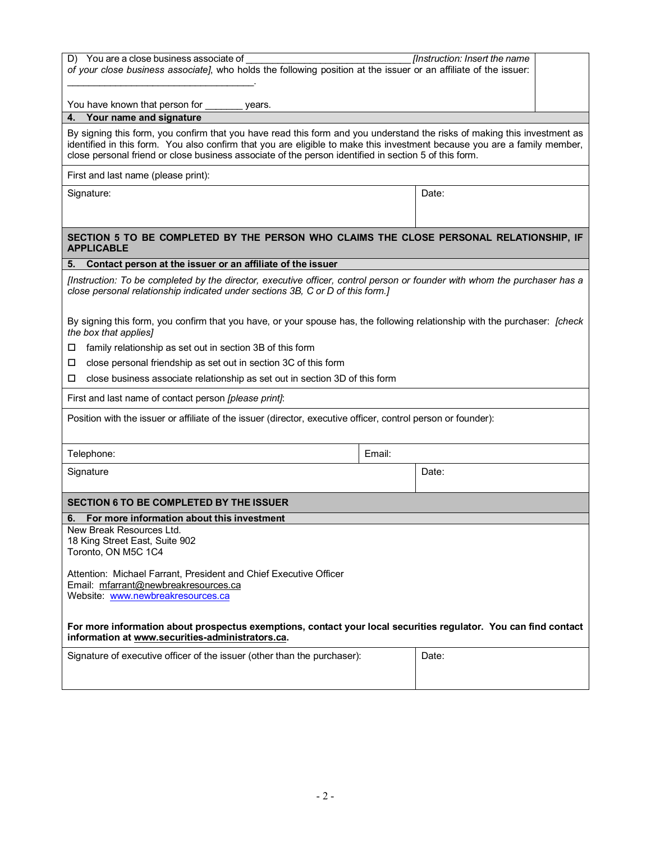| D) You are a close business associate of<br>of your close business associate], who holds the following position at the issuer or an affiliate of the issuer:                                                                                                                                                                                                  |        | finstruction: Insert the name |
|---------------------------------------------------------------------------------------------------------------------------------------------------------------------------------------------------------------------------------------------------------------------------------------------------------------------------------------------------------------|--------|-------------------------------|
|                                                                                                                                                                                                                                                                                                                                                               |        |                               |
| You have known that person for<br>years.                                                                                                                                                                                                                                                                                                                      |        |                               |
| Your name and signature<br>4.                                                                                                                                                                                                                                                                                                                                 |        |                               |
| By signing this form, you confirm that you have read this form and you understand the risks of making this investment as<br>identified in this form. You also confirm that you are eligible to make this investment because you are a family member,<br>close personal friend or close business associate of the person identified in section 5 of this form. |        |                               |
| First and last name (please print):                                                                                                                                                                                                                                                                                                                           |        |                               |
| Signature:                                                                                                                                                                                                                                                                                                                                                    |        | Date:                         |
| SECTION 5 TO BE COMPLETED BY THE PERSON WHO CLAIMS THE CLOSE PERSONAL RELATIONSHIP, IF                                                                                                                                                                                                                                                                        |        |                               |
| <b>APPLICABLE</b>                                                                                                                                                                                                                                                                                                                                             |        |                               |
| Contact person at the issuer or an affiliate of the issuer<br>5.                                                                                                                                                                                                                                                                                              |        |                               |
| [Instruction: To be completed by the director, executive officer, control person or founder with whom the purchaser has a<br>close personal relationship indicated under sections 3B, C or D of this form.]                                                                                                                                                   |        |                               |
| By signing this form, you confirm that you have, or your spouse has, the following relationship with the purchaser: [check<br>the box that applies]                                                                                                                                                                                                           |        |                               |
| family relationship as set out in section 3B of this form<br>⊔                                                                                                                                                                                                                                                                                                |        |                               |
| close personal friendship as set out in section 3C of this form<br>□                                                                                                                                                                                                                                                                                          |        |                               |
| close business associate relationship as set out in section 3D of this form<br>□                                                                                                                                                                                                                                                                              |        |                               |
| First and last name of contact person [please print]:                                                                                                                                                                                                                                                                                                         |        |                               |
| Position with the issuer or affiliate of the issuer (director, executive officer, control person or founder):                                                                                                                                                                                                                                                 |        |                               |
| Telephone:                                                                                                                                                                                                                                                                                                                                                    | Email: |                               |
| Signature                                                                                                                                                                                                                                                                                                                                                     |        | Date:                         |
| <b>SECTION 6 TO BE COMPLETED BY THE ISSUER</b>                                                                                                                                                                                                                                                                                                                |        |                               |
| For more information about this investment<br>6.                                                                                                                                                                                                                                                                                                              |        |                               |
| New Break Resources Ltd.<br>18 King Street East, Suite 902<br>Toronto, ON M5C 1C4                                                                                                                                                                                                                                                                             |        |                               |
| Attention: Michael Farrant, President and Chief Executive Officer<br>Email: mfarrant@newbreakresources.ca<br>Website: www.newbreakresources.ca                                                                                                                                                                                                                |        |                               |
| For more information about prospectus exemptions, contact your local securities regulator. You can find contact<br>information at www.securities-administrators.ca.                                                                                                                                                                                           |        |                               |
| Signature of executive officer of the issuer (other than the purchaser):                                                                                                                                                                                                                                                                                      |        | Date:                         |
|                                                                                                                                                                                                                                                                                                                                                               |        |                               |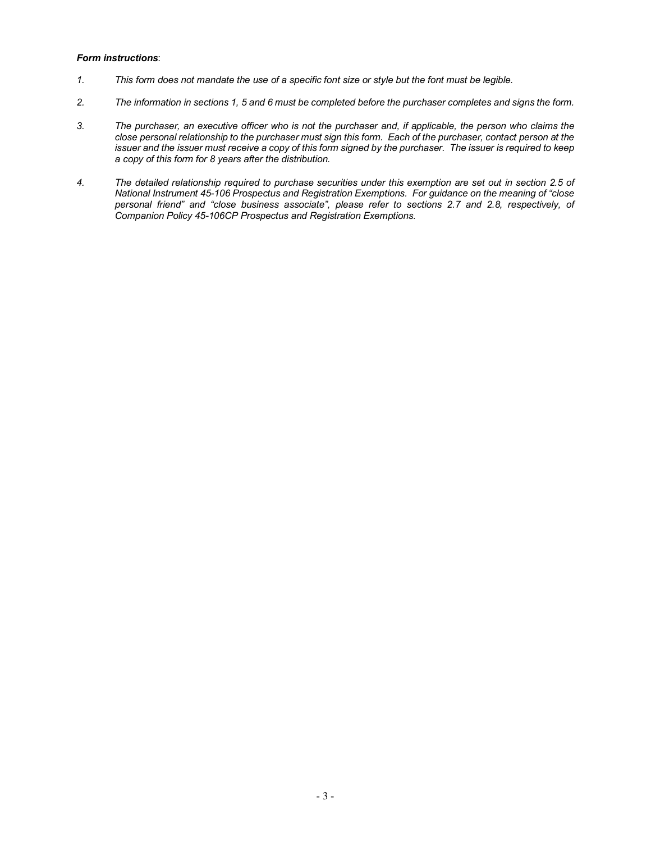### *Form instructions*:

- *1. This form does not mandate the use of a specific font size or style but the font must be legible.*
- *2. The information in sections 1, 5 and 6 must be completed before the purchaser completes and signs the form.*
- *3. The purchaser, an executive officer who is not the purchaser and, if applicable, the person who claims the close personal relationship to the purchaser must sign this form. Each of the purchaser, contact person at the issuer and the issuer must receive a copy of this form signed by the purchaser. The issuer is required to keep a copy of this form for 8 years after the distribution.*
- *4. The detailed relationship required to purchase securities under this exemption are set out in section 2.5 of National Instrument 45-106 Prospectus and Registration Exemptions. For guidance on the meaning of "close personal friend" and "close business associate", please refer to sections 2.7 and 2.8, respectively, of Companion Policy 45-106CP Prospectus and Registration Exemptions.*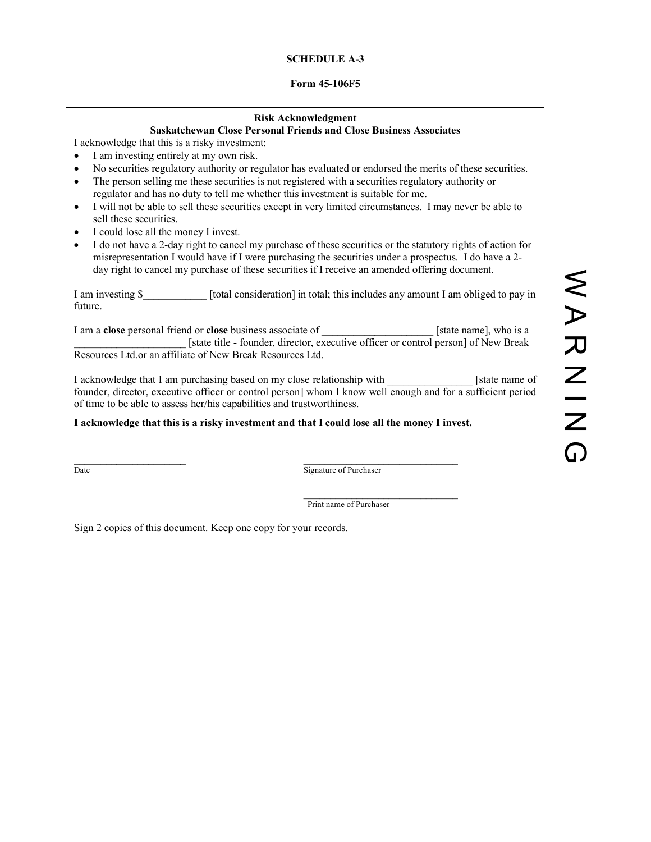# **SCHEDULE A-3**

# **Form 45-106F5**

# **Risk Acknowledgment**

# **Saskatchewan Close Personal Friends and Close Business Associates**

I acknowledge that this is a risky investment:

- I am investing entirely at my own risk.
- No securities regulatory authority or regulator has evaluated or endorsed the merits of these securities.
- The person selling me these securities is not registered with a securities regulatory authority or regulator and has no duty to tell me whether this investment is suitable for me.
- I will not be able to sell these securities except in very limited circumstances. I may never be able to sell these securities.
- I could lose all the money I invest.
- I do not have a 2-day right to cancel my purchase of these securities or the statutory rights of action for misrepresentation I would have if I were purchasing the securities under a prospectus. I do have a 2 day right to cancel my purchase of these securities if I receive an amended offering document.

I am investing \$ [total consideration] in total; this includes any amount I am obliged to pay in future.

I am a **close** personal friend or **close** business associate of \_\_\_\_\_\_\_\_\_\_\_\_\_\_\_\_\_\_\_\_\_ [state name], who is a [state title - founder, director, executive officer or control person] of New Break Resources Ltd.or an affiliate of New Break Resources Ltd.

I acknowledge that I am purchasing based on my close relationship with [state name of founder, director, executive officer or control person] whom I know well enough and for a sufficient period of time to be able to assess her/his capabilities and trustworthiness.

**I acknowledge that this is a risky investment and that I could lose all the money I invest.**

\_\_\_\_\_\_\_\_\_\_\_\_\_\_\_\_\_\_\_\_\_ \_\_\_\_\_\_\_\_\_\_\_\_\_\_\_\_\_\_\_\_\_\_\_\_\_\_\_\_\_ Date Signature of Purchaser

> $\mathcal{L}=\{1,2,3,4,5\}$ Print name of Purchaser

Sign 2 copies of this document. Keep one copy for your records.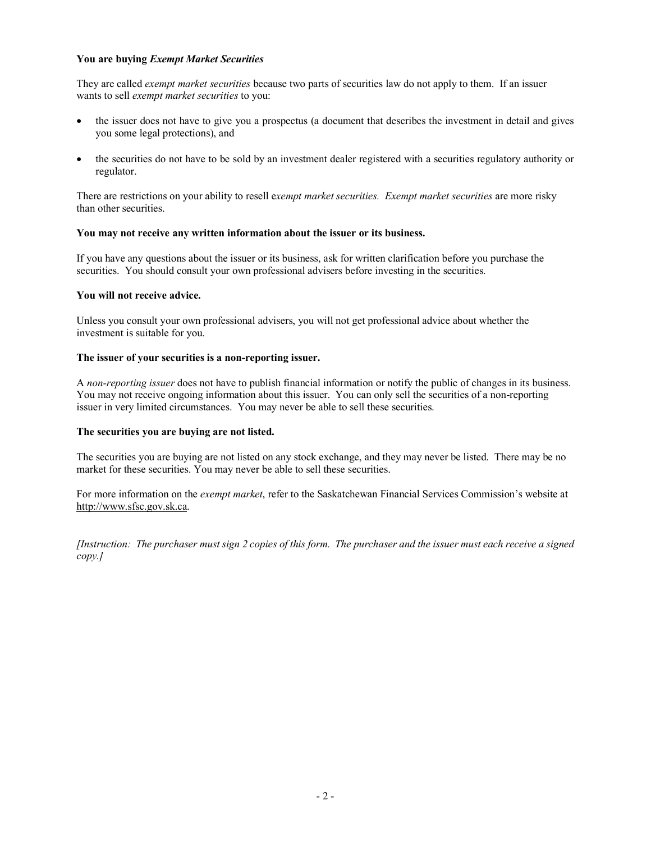### **You are buying** *Exempt Market Securities*

They are called *exempt market securities* because two parts of securities law do not apply to them. If an issuer wants to sell *exempt market securities* to you:

- the issuer does not have to give you a prospectus (a document that describes the investment in detail and gives you some legal protections), and
- the securities do not have to be sold by an investment dealer registered with a securities regulatory authority or regulator.

There are restrictions on your ability to resell e*xempt market securities. Exempt market securities* are more risky than other securities.

#### **You may not receive any written information about the issuer or its business.**

If you have any questions about the issuer or its business, ask for written clarification before you purchase the securities. You should consult your own professional advisers before investing in the securities.

### **You will not receive advice.**

Unless you consult your own professional advisers, you will not get professional advice about whether the investment is suitable for you.

#### **The issuer of your securities is a non-reporting issuer.**

A *non-reporting issuer* does not have to publish financial information or notify the public of changes in its business. You may not receive ongoing information about this issuer. You can only sell the securities of a non-reporting issuer in very limited circumstances. You may never be able to sell these securities.

### **The securities you are buying are not listed.**

The securities you are buying are not listed on any stock exchange, and they may never be listed. There may be no market for these securities. You may never be able to sell these securities.

For more information on the *exempt market*, refer to the Saskatchewan Financial Services Commission's website at http://www.sfsc.gov.sk.ca.

*[Instruction: The purchaser must sign 2 copies of this form. The purchaser and the issuer must each receive a signed copy.]*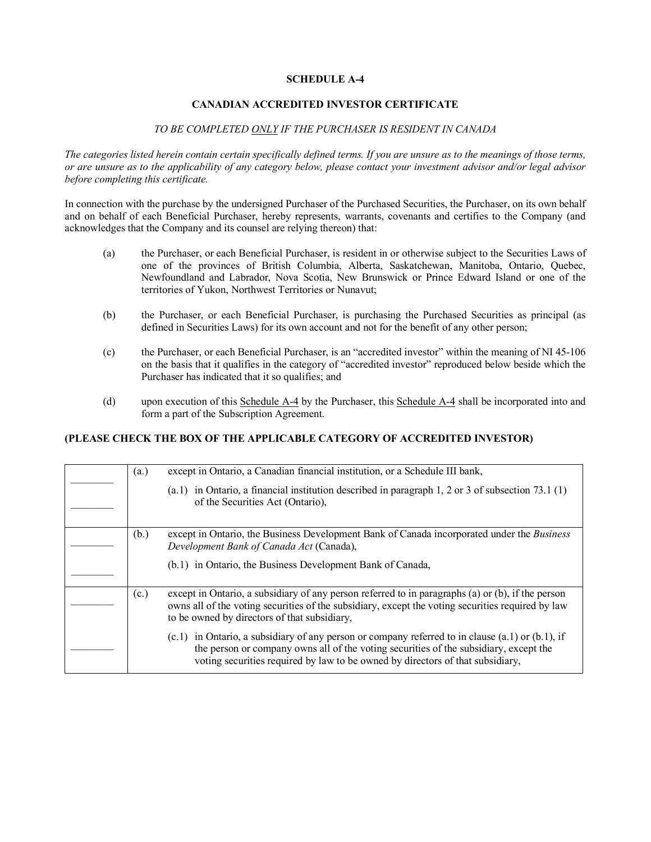### **SCHEDULE A-4**

#### **CANADIAN ACCREDITED INVESTOR CERTIFICATE**

#### *TO BE COMPLETED ONLY IF THE PURCHASER IS RESIDENT IN CANADA*

*The categories listed herein contain certain specifically defined terms. If you are unsure as to the meanings of those terms, or are unsure as to the applicability of any category below, please contact your investment advisor and/or legal advisor before completing this certificate.*

In connection with the purchase by the undersigned Purchaser of the Purchased Securities, the Purchaser, on its own behalf and on behalf of each Beneficial Purchaser, hereby represents, warrants, covenants and certifies to the Company (and acknowledges that the Company and its counsel are relying thereon) that:

- (a) the Purchaser, or each Beneficial Purchaser, is resident in or otherwise subject to the Securities Laws of one of the provinces of British Columbia, Alberta, Saskatchewan, Manitoba, Ontario, Quebec, Newfoundland and Labrador, Nova Scotia, New Brunswick or Prince Edward Island or one of the territories of Yukon, Northwest Territories or Nunavut;
- (b) the Purchaser, or each Beneficial Purchaser, is purchasing the Purchased Securities as principal (as defined in Securities Laws) for its own account and not for the benefit of any other person;
- (c) the Purchaser, or each Beneficial Purchaser, is an "accredited investor" within the meaning of NI 45-106 on the basis that it qualifies in the category of "accredited investor" reproduced below beside which the Purchaser has indicated that it so qualifies; and
- (d) upon execution of this Schedule  $A-4$  by the Purchaser, this Schedule  $A-4$  shall be incorporated into and form a part of the Subscription Agreement.

# **(PLEASE CHECK THE BOX OF THE APPLICABLE CATEGORY OF ACCREDITED INVESTOR)**

| (a.) | except in Ontario, a Canadian financial institution, or a Schedule III bank,                                                                                                                                                                                                  |
|------|-------------------------------------------------------------------------------------------------------------------------------------------------------------------------------------------------------------------------------------------------------------------------------|
|      | (a.1) in Ontario, a financial institution described in paragraph 1, 2 or 3 of subsection 73.1 (1)<br>of the Securities Act (Ontario),                                                                                                                                         |
| (b.) | except in Ontario, the Business Development Bank of Canada incorporated under the Business<br>Development Bank of Canada Act (Canada),                                                                                                                                        |
|      | (b.1) in Ontario, the Business Development Bank of Canada,                                                                                                                                                                                                                    |
| (c.) | except in Ontario, a subsidiary of any person referred to in paragraphs (a) or (b), if the person<br>owns all of the voting securities of the subsidiary, except the voting securities required by law<br>to be owned by directors of that subsidiary,                        |
|      | $(c.1)$ in Ontario, a subsidiary of any person or company referred to in clause (a.1) or (b.1), if<br>the person or company owns all of the voting securities of the subsidiary, except the<br>voting securities required by law to be owned by directors of that subsidiary, |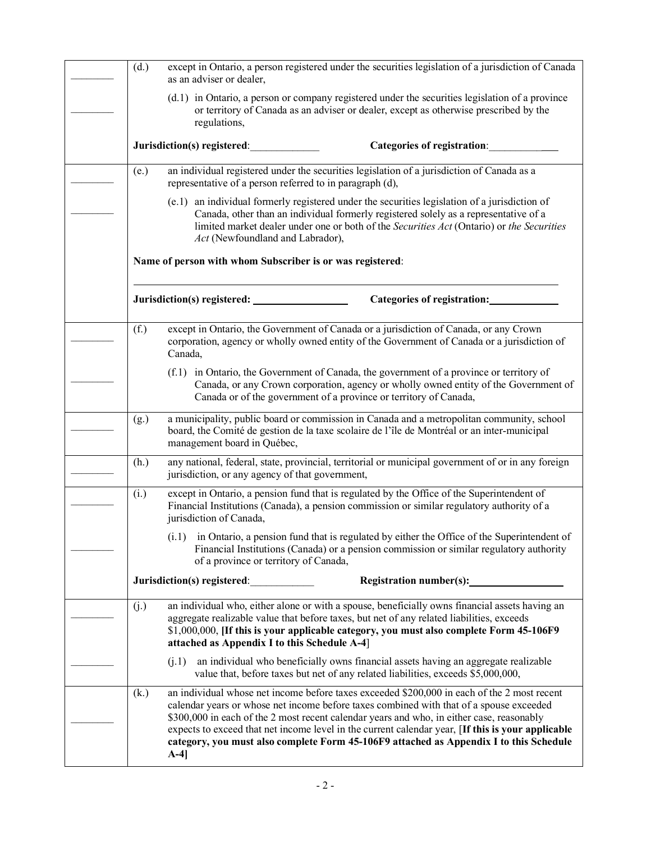| except in Ontario, a person registered under the securities legislation of a jurisdiction of Canada<br>(d.)<br>as an adviser or dealer,                                                                                                                                                                                                                                                                                                                                                               |
|-------------------------------------------------------------------------------------------------------------------------------------------------------------------------------------------------------------------------------------------------------------------------------------------------------------------------------------------------------------------------------------------------------------------------------------------------------------------------------------------------------|
| $(d.1)$ in Ontario, a person or company registered under the securities legislation of a province<br>or territory of Canada as an adviser or dealer, except as otherwise prescribed by the<br>regulations,                                                                                                                                                                                                                                                                                            |
| Jurisdiction(s) registered:<br><b>Categories of registration:</b>                                                                                                                                                                                                                                                                                                                                                                                                                                     |
| an individual registered under the securities legislation of a jurisdiction of Canada as a<br>(e.)<br>representative of a person referred to in paragraph (d),                                                                                                                                                                                                                                                                                                                                        |
| (e.1) an individual formerly registered under the securities legislation of a jurisdiction of<br>Canada, other than an individual formerly registered solely as a representative of a<br>limited market dealer under one or both of the Securities Act (Ontario) or the Securities<br>Act (Newfoundland and Labrador),                                                                                                                                                                                |
| Name of person with whom Subscriber is or was registered:                                                                                                                                                                                                                                                                                                                                                                                                                                             |
| Categories of registration:                                                                                                                                                                                                                                                                                                                                                                                                                                                                           |
| except in Ontario, the Government of Canada or a jurisdiction of Canada, or any Crown<br>(f.)<br>corporation, agency or wholly owned entity of the Government of Canada or a jurisdiction of<br>Canada,                                                                                                                                                                                                                                                                                               |
| (f.1) in Ontario, the Government of Canada, the government of a province or territory of<br>Canada, or any Crown corporation, agency or wholly owned entity of the Government of<br>Canada or of the government of a province or territory of Canada,                                                                                                                                                                                                                                                 |
| a municipality, public board or commission in Canada and a metropolitan community, school<br>(g.)<br>board, the Comité de gestion de la taxe scolaire de l'île de Montréal or an inter-municipal<br>management board in Québec,                                                                                                                                                                                                                                                                       |
| any national, federal, state, provincial, territorial or municipal government of or in any foreign<br>(h.)<br>jurisdiction, or any agency of that government,                                                                                                                                                                                                                                                                                                                                         |
| except in Ontario, a pension fund that is regulated by the Office of the Superintendent of<br>(i.)<br>Financial Institutions (Canada), a pension commission or similar regulatory authority of a<br>jurisdiction of Canada,                                                                                                                                                                                                                                                                           |
| (i.1) in Ontario, a pension fund that is regulated by either the Office of the Superintendent of<br>Financial Institutions (Canada) or a pension commission or similar regulatory authority<br>of a province or territory of Canada,                                                                                                                                                                                                                                                                  |
| Jurisdiction(s) registered:<br><b>Registration number(s):</b>                                                                                                                                                                                                                                                                                                                                                                                                                                         |
| (j.)<br>an individual who, either alone or with a spouse, beneficially owns financial assets having an<br>aggregate realizable value that before taxes, but net of any related liabilities, exceeds<br>\$1,000,000, [If this is your applicable category, you must also complete Form 45-106F9<br>attached as Appendix I to this Schedule A-4]                                                                                                                                                        |
| an individual who beneficially owns financial assets having an aggregate realizable<br>(i.1)<br>value that, before taxes but net of any related liabilities, exceeds \$5,000,000,                                                                                                                                                                                                                                                                                                                     |
| an individual whose net income before taxes exceeded \$200,000 in each of the 2 most recent<br>(k.)<br>calendar years or whose net income before taxes combined with that of a spouse exceeded<br>\$300,000 in each of the 2 most recent calendar years and who, in either case, reasonably<br>expects to exceed that net income level in the current calendar year, [If this is your applicable<br>category, you must also complete Form 45-106F9 attached as Appendix I to this Schedule<br>$A-4$ ] |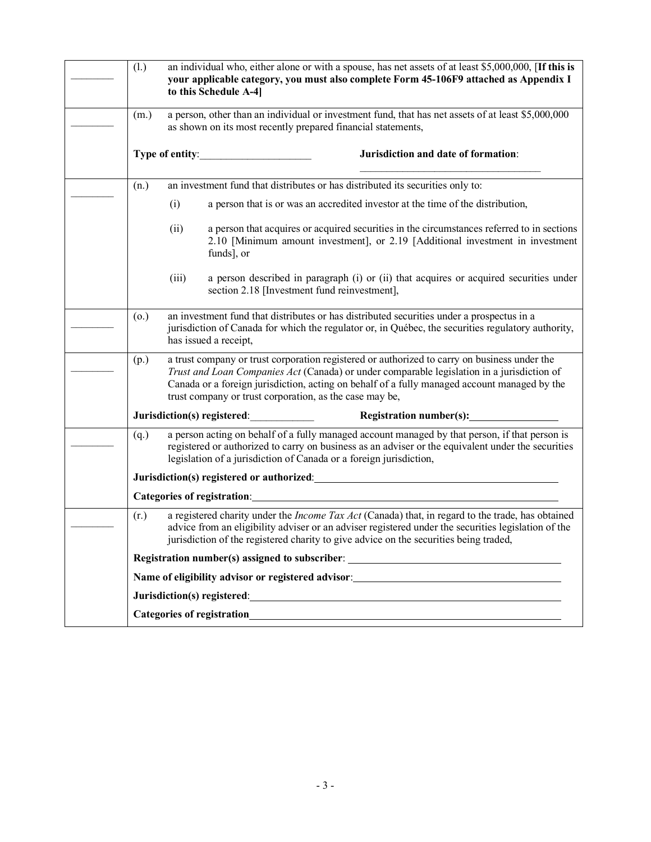| (1.) | an individual who, either alone or with a spouse, has net assets of at least \$5,000,000, [If this is<br>your applicable category, you must also complete Form 45-106F9 attached as Appendix I<br>to this Schedule A-4]                                                                                                                               |
|------|-------------------------------------------------------------------------------------------------------------------------------------------------------------------------------------------------------------------------------------------------------------------------------------------------------------------------------------------------------|
| (m.) | a person, other than an individual or investment fund, that has net assets of at least \$5,000,000<br>as shown on its most recently prepared financial statements,                                                                                                                                                                                    |
|      | Jurisdiction and date of formation:<br>Type of entity:                                                                                                                                                                                                                                                                                                |
| (n.) | an investment fund that distributes or has distributed its securities only to:                                                                                                                                                                                                                                                                        |
|      | (i)<br>a person that is or was an accredited investor at the time of the distribution,                                                                                                                                                                                                                                                                |
|      | a person that acquires or acquired securities in the circumstances referred to in sections<br>(ii)<br>2.10 [Minimum amount investment], or 2.19 [Additional investment in investment<br>funds], or                                                                                                                                                    |
|      | a person described in paragraph (i) or (ii) that acquires or acquired securities under<br>(iii)<br>section 2.18 [Investment fund reinvestment],                                                                                                                                                                                                       |
| (0.) | an investment fund that distributes or has distributed securities under a prospectus in a<br>jurisdiction of Canada for which the regulator or, in Québec, the securities regulatory authority,<br>has issued a receipt,                                                                                                                              |
| (p.) | a trust company or trust corporation registered or authorized to carry on business under the<br>Trust and Loan Companies Act (Canada) or under comparable legislation in a jurisdiction of<br>Canada or a foreign jurisdiction, acting on behalf of a fully managed account managed by the<br>trust company or trust corporation, as the case may be, |
|      | Jurisdiction(s) registered:<br><b>Registration number(s):</b>                                                                                                                                                                                                                                                                                         |
| (q.) | a person acting on behalf of a fully managed account managed by that person, if that person is<br>registered or authorized to carry on business as an adviser or the equivalent under the securities<br>legislation of a jurisdiction of Canada or a foreign jurisdiction,                                                                            |
|      | Jurisdiction(s) registered or authorized:                                                                                                                                                                                                                                                                                                             |
|      | Categories of registration:                                                                                                                                                                                                                                                                                                                           |
| (r.) | a registered charity under the Income Tax Act (Canada) that, in regard to the trade, has obtained<br>advice from an eligibility adviser or an adviser registered under the securities legislation of the<br>jurisdiction of the registered charity to give advice on the securities being traded,                                                     |
|      | Registration number(s) assigned to subscriber: _________________________________                                                                                                                                                                                                                                                                      |
|      | Name of eligibility advisor or registered advisor:                                                                                                                                                                                                                                                                                                    |
|      |                                                                                                                                                                                                                                                                                                                                                       |
|      | Categories of registration                                                                                                                                                                                                                                                                                                                            |
|      |                                                                                                                                                                                                                                                                                                                                                       |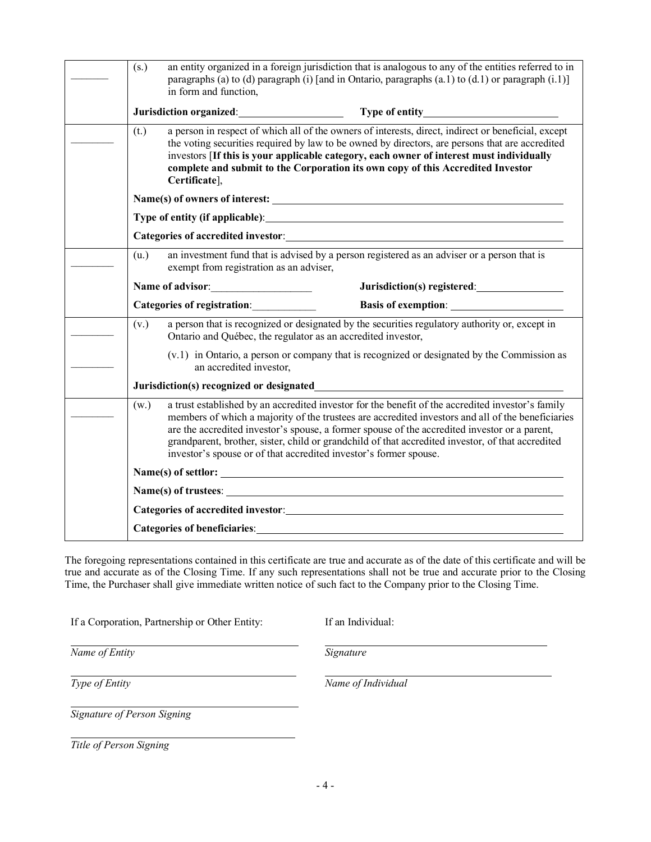| an entity organized in a foreign jurisdiction that is analogous to any of the entities referred to in<br>(s.)<br>paragraphs (a) to (d) paragraph (i) [and in Ontario, paragraphs (a.1) to (d.1) or paragraph (i.1)]<br>in form and function, |                                                                                                                                                                                                                                                                                                                                                                                                              |
|----------------------------------------------------------------------------------------------------------------------------------------------------------------------------------------------------------------------------------------------|--------------------------------------------------------------------------------------------------------------------------------------------------------------------------------------------------------------------------------------------------------------------------------------------------------------------------------------------------------------------------------------------------------------|
|                                                                                                                                                                                                                                              |                                                                                                                                                                                                                                                                                                                                                                                                              |
| (t.)<br>Certificate],                                                                                                                                                                                                                        | a person in respect of which all of the owners of interests, direct, indirect or beneficial, except<br>the voting securities required by law to be owned by directors, are persons that are accredited<br>investors [If this is your applicable category, each owner of interest must individually<br>complete and submit to the Corporation its own copy of this Accredited Investor                        |
|                                                                                                                                                                                                                                              |                                                                                                                                                                                                                                                                                                                                                                                                              |
|                                                                                                                                                                                                                                              |                                                                                                                                                                                                                                                                                                                                                                                                              |
|                                                                                                                                                                                                                                              | Categories of accredited investor: Note that the set of the set of the set of the set of the set of the set of the set of the set of the set of the set of the set of the set of the set of the set of the set of the set of t                                                                                                                                                                               |
| (u.)<br>exempt from registration as an adviser,                                                                                                                                                                                              | an investment fund that is advised by a person registered as an adviser or a person that is                                                                                                                                                                                                                                                                                                                  |
| Name of advisor:                                                                                                                                                                                                                             | Jurisdiction(s) registered:                                                                                                                                                                                                                                                                                                                                                                                  |
| Categories of registration:                                                                                                                                                                                                                  |                                                                                                                                                                                                                                                                                                                                                                                                              |
| (v.)<br>Ontario and Québec, the regulator as an accredited investor,                                                                                                                                                                         | a person that is recognized or designated by the securities regulatory authority or, except in                                                                                                                                                                                                                                                                                                               |
|                                                                                                                                                                                                                                              |                                                                                                                                                                                                                                                                                                                                                                                                              |
| an accredited investor,                                                                                                                                                                                                                      | $(v.1)$ in Ontario, a person or company that is recognized or designated by the Commission as                                                                                                                                                                                                                                                                                                                |
|                                                                                                                                                                                                                                              |                                                                                                                                                                                                                                                                                                                                                                                                              |
| (w.)<br>investor's spouse or of that accredited investor's former spouse.                                                                                                                                                                    | a trust established by an accredited investor for the benefit of the accredited investor's family<br>members of which a majority of the trustees are accredited investors and all of the beneficiaries<br>are the accredited investor's spouse, a former spouse of the accredited investor or a parent,<br>grandparent, brother, sister, child or grandchild of that accredited investor, of that accredited |
| Name(s) of settlor:                                                                                                                                                                                                                          |                                                                                                                                                                                                                                                                                                                                                                                                              |
|                                                                                                                                                                                                                                              |                                                                                                                                                                                                                                                                                                                                                                                                              |
|                                                                                                                                                                                                                                              | Categories of accredited investor: Note that the set of the set of the set of the set of the set of the set of the set of the set of the set of the set of the set of the set of the set of the set of the set of the set of t                                                                                                                                                                               |

The foregoing representations contained in this certificate are true and accurate as of the date of this certificate and will be true and accurate as of the Closing Time. If any such representations shall not be true and accurate prior to the Closing Time, the Purchaser shall give immediate written notice of such fact to the Company prior to the Closing Time.

If a Corporation, Partnership or Other Entity:

If an Individual:

*Name of Entity*

*Signature*

*Type of Entity*

*Name of Individual*

*Signature of Person Signing*

*Title of Person Signing*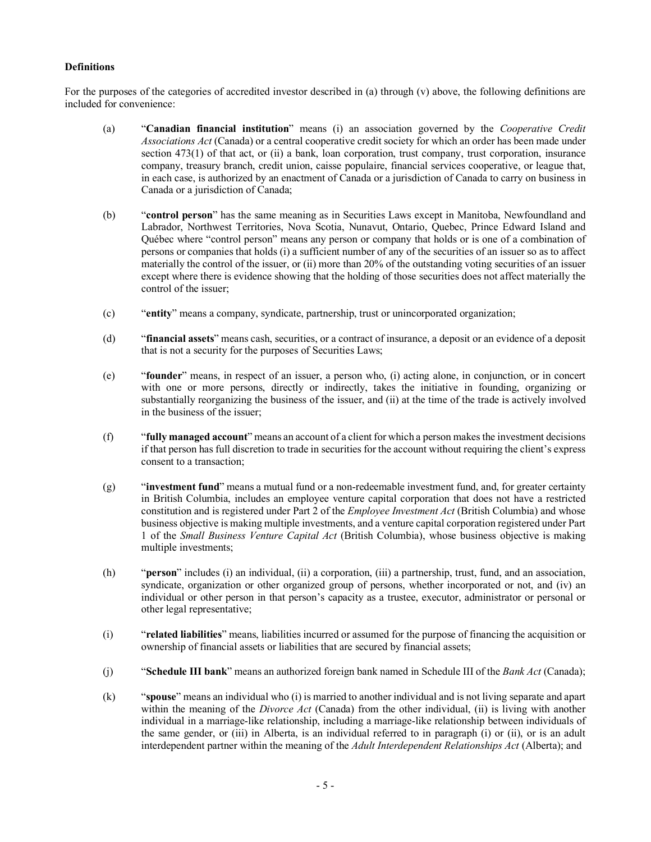# **Definitions**

For the purposes of the categories of accredited investor described in (a) through (v) above, the following definitions are included for convenience:

- (a) "**Canadian financial institution**" means (i) an association governed by the *Cooperative Credit Associations Act* (Canada) or a central cooperative credit society for which an order has been made under section 473(1) of that act, or (ii) a bank, loan corporation, trust company, trust corporation, insurance company, treasury branch, credit union, caisse populaire, financial services cooperative, or league that, in each case, is authorized by an enactment of Canada or a jurisdiction of Canada to carry on business in Canada or a jurisdiction of Canada;
- (b) "**control person**" has the same meaning as in Securities Laws except in Manitoba, Newfoundland and Labrador, Northwest Territories, Nova Scotia, Nunavut, Ontario, Quebec, Prince Edward Island and Québec where "control person" means any person or company that holds or is one of a combination of persons or companies that holds (i) a sufficient number of any of the securities of an issuer so as to affect materially the control of the issuer, or (ii) more than 20% of the outstanding voting securities of an issuer except where there is evidence showing that the holding of those securities does not affect materially the control of the issuer;
- (c) "**entity**" means a company, syndicate, partnership, trust or unincorporated organization;
- (d) "**financial assets**" means cash, securities, or a contract of insurance, a deposit or an evidence of a deposit that is not a security for the purposes of Securities Laws;
- (e) "**founder**" means, in respect of an issuer, a person who, (i) acting alone, in conjunction, or in concert with one or more persons, directly or indirectly, takes the initiative in founding, organizing or substantially reorganizing the business of the issuer, and (ii) at the time of the trade is actively involved in the business of the issuer;
- (f) "**fully managed account**" means an account of a client for which a person makes the investment decisions if that person has full discretion to trade in securities for the account without requiring the client's express consent to a transaction;
- (g) "**investment fund**" means a mutual fund or a non-redeemable investment fund, and, for greater certainty in British Columbia, includes an employee venture capital corporation that does not have a restricted constitution and is registered under Part 2 of the *Employee Investment Act* (British Columbia) and whose business objective is making multiple investments, and a venture capital corporation registered under Part 1 of the *Small Business Venture Capital Act* (British Columbia), whose business objective is making multiple investments;
- (h) "**person**" includes (i) an individual, (ii) a corporation, (iii) a partnership, trust, fund, and an association, syndicate, organization or other organized group of persons, whether incorporated or not, and (iv) an individual or other person in that person's capacity as a trustee, executor, administrator or personal or other legal representative;
- (i) "**related liabilities**" means, liabilities incurred or assumed for the purpose of financing the acquisition or ownership of financial assets or liabilities that are secured by financial assets;
- (j) "**Schedule III bank**" means an authorized foreign bank named in Schedule III of the *Bank Act* (Canada);
- (k) "**spouse**" means an individual who (i) is married to another individual and is not living separate and apart within the meaning of the *Divorce Act* (Canada) from the other individual, (ii) is living with another individual in a marriage-like relationship, including a marriage-like relationship between individuals of the same gender, or (iii) in Alberta, is an individual referred to in paragraph (i) or (ii), or is an adult interdependent partner within the meaning of the *Adult Interdependent Relationships Act* (Alberta); and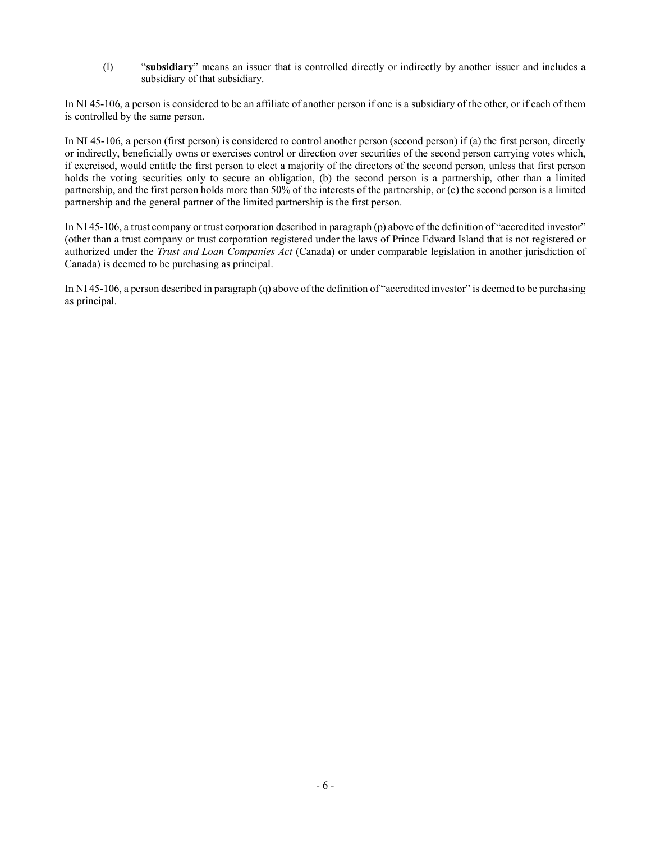(l) "**subsidiary**" means an issuer that is controlled directly or indirectly by another issuer and includes a subsidiary of that subsidiary.

In NI 45-106, a person is considered to be an affiliate of another person if one is a subsidiary of the other, or if each of them is controlled by the same person.

In NI 45-106, a person (first person) is considered to control another person (second person) if (a) the first person, directly or indirectly, beneficially owns or exercises control or direction over securities of the second person carrying votes which, if exercised, would entitle the first person to elect a majority of the directors of the second person, unless that first person holds the voting securities only to secure an obligation, (b) the second person is a partnership, other than a limited partnership, and the first person holds more than 50% of the interests of the partnership, or (c) the second person is a limited partnership and the general partner of the limited partnership is the first person.

In NI 45-106, a trust company or trust corporation described in paragraph (p) above of the definition of "accredited investor" (other than a trust company or trust corporation registered under the laws of Prince Edward Island that is not registered or authorized under the *Trust and Loan Companies Act* (Canada) or under comparable legislation in another jurisdiction of Canada) is deemed to be purchasing as principal.

In NI 45-106, a person described in paragraph (q) above of the definition of "accredited investor" is deemed to be purchasing as principal.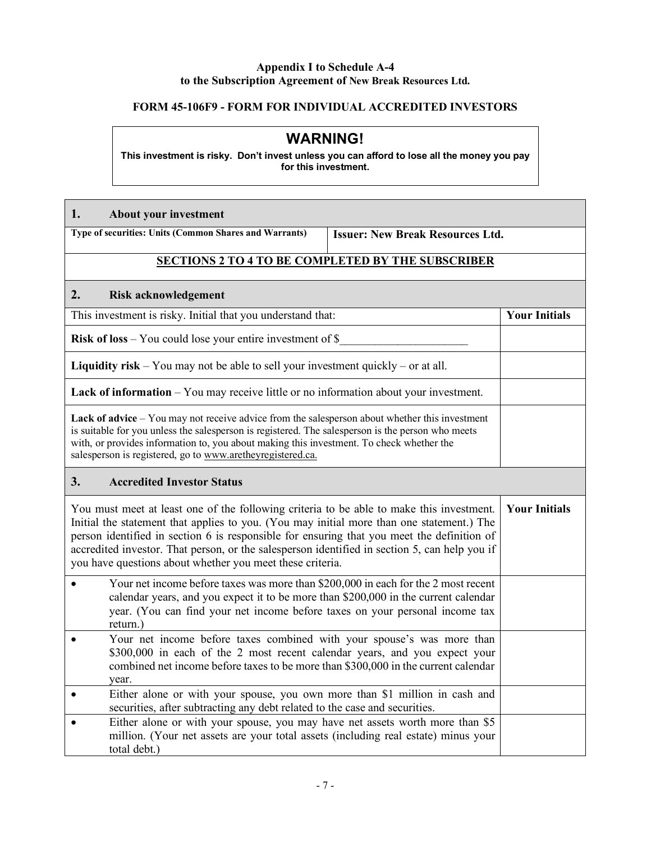# **Appendix I to Schedule A-4 to the Subscription Agreement of New Break Resources Ltd.**

# **FORM 45-106F9 - FORM FOR INDIVIDUAL ACCREDITED INVESTORS**

# **WARNING!**

**This investment is risky. Don't invest unless you can afford to lose all the money you pay for this investment.**

| 1.<br>About your investment                                                                                                                                                                                                                                                                                                                                                                                                                       |                      |  |  |
|---------------------------------------------------------------------------------------------------------------------------------------------------------------------------------------------------------------------------------------------------------------------------------------------------------------------------------------------------------------------------------------------------------------------------------------------------|----------------------|--|--|
| Type of securities: Units (Common Shares and Warrants)<br><b>Issuer: New Break Resources Ltd.</b>                                                                                                                                                                                                                                                                                                                                                 |                      |  |  |
| <b>SECTIONS 2 TO 4 TO BE COMPLETED BY THE SUBSCRIBER</b>                                                                                                                                                                                                                                                                                                                                                                                          |                      |  |  |
| 2.<br><b>Risk acknowledgement</b>                                                                                                                                                                                                                                                                                                                                                                                                                 |                      |  |  |
| This investment is risky. Initial that you understand that:                                                                                                                                                                                                                                                                                                                                                                                       | <b>Your Initials</b> |  |  |
| <b>Risk of loss</b> – You could lose your entire investment of $\$                                                                                                                                                                                                                                                                                                                                                                                |                      |  |  |
| <b>Liquidity risk</b> – You may not be able to sell your investment quickly – or at all.                                                                                                                                                                                                                                                                                                                                                          |                      |  |  |
| Lack of information - You may receive little or no information about your investment.                                                                                                                                                                                                                                                                                                                                                             |                      |  |  |
| Lack of advice – You may not receive advice from the salesperson about whether this investment<br>is suitable for you unless the salesperson is registered. The salesperson is the person who meets<br>with, or provides information to, you about making this investment. To check whether the<br>salesperson is registered, go to www.aretheyregistered.ca.                                                                                     |                      |  |  |
| 3.<br><b>Accredited Investor Status</b>                                                                                                                                                                                                                                                                                                                                                                                                           |                      |  |  |
| You must meet at least one of the following criteria to be able to make this investment.<br>Initial the statement that applies to you. (You may initial more than one statement.) The<br>person identified in section 6 is responsible for ensuring that you meet the definition of<br>accredited investor. That person, or the salesperson identified in section 5, can help you if<br>you have questions about whether you meet these criteria. | <b>Your Initials</b> |  |  |
| Your net income before taxes was more than \$200,000 in each for the 2 most recent<br>$\bullet$<br>calendar years, and you expect it to be more than \$200,000 in the current calendar<br>year. (You can find your net income before taxes on your personal income tax<br>return.)                                                                                                                                                                |                      |  |  |
| Your net income before taxes combined with your spouse's was more than<br>\$300,000 in each of the 2 most recent calendar years, and you expect your<br>combined net income before taxes to be more than \$300,000 in the current calendar<br>year.                                                                                                                                                                                               |                      |  |  |
| Either alone or with your spouse, you own more than \$1 million in cash and<br>securities, after subtracting any debt related to the case and securities.                                                                                                                                                                                                                                                                                         |                      |  |  |
| Either alone or with your spouse, you may have net assets worth more than \$5<br>million. (Your net assets are your total assets (including real estate) minus your<br>total debt.)                                                                                                                                                                                                                                                               |                      |  |  |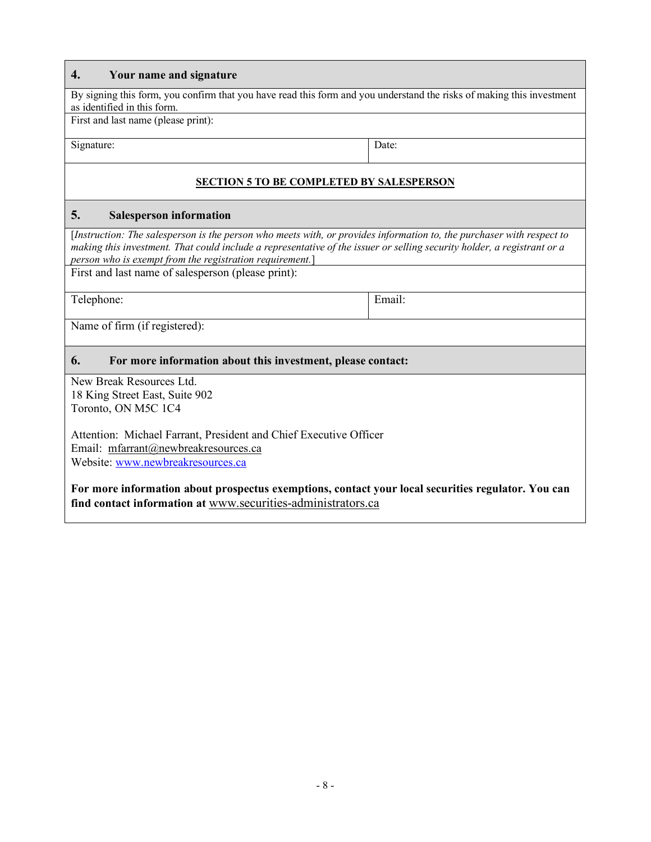| $\overline{4}$ .<br>Your name and signature                                                                                                                                                                                                                                                                  |        |  |
|--------------------------------------------------------------------------------------------------------------------------------------------------------------------------------------------------------------------------------------------------------------------------------------------------------------|--------|--|
| By signing this form, you confirm that you have read this form and you understand the risks of making this investment<br>as identified in this form.                                                                                                                                                         |        |  |
| First and last name (please print):                                                                                                                                                                                                                                                                          |        |  |
| Signature:                                                                                                                                                                                                                                                                                                   | Date:  |  |
| <b>SECTION 5 TO BE COMPLETED BY SALESPERSON</b>                                                                                                                                                                                                                                                              |        |  |
| 5.<br><b>Salesperson information</b>                                                                                                                                                                                                                                                                         |        |  |
| [Instruction: The salesperson is the person who meets with, or provides information to, the purchaser with respect to<br>making this investment. That could include a representative of the issuer or selling security holder, a registrant or a<br>person who is exempt from the registration requirement.] |        |  |
| First and last name of salesperson (please print):                                                                                                                                                                                                                                                           |        |  |
| Telephone:                                                                                                                                                                                                                                                                                                   | Email: |  |
| Name of firm (if registered):                                                                                                                                                                                                                                                                                |        |  |
| 6.<br>For more information about this investment, please contact:                                                                                                                                                                                                                                            |        |  |
| New Break Resources Ltd.<br>18 King Street East, Suite 902<br>Toronto, ON M5C 1C4                                                                                                                                                                                                                            |        |  |
| Attention: Michael Farrant, President and Chief Executive Officer<br>Email: mfarrant@newbreakresources.ca<br>Website: www.newbreakresources.ca                                                                                                                                                               |        |  |
| For more information about prospectus exemptions, contact your local securities regulator. You can<br>find contact information at www.securities-administrators.ca                                                                                                                                           |        |  |

<u> 1980 - Johann Stoff, deutscher Stoff, der Stoff, der Stoff, der Stoff, der Stoff, der Stoff, der Stoff, der S</u>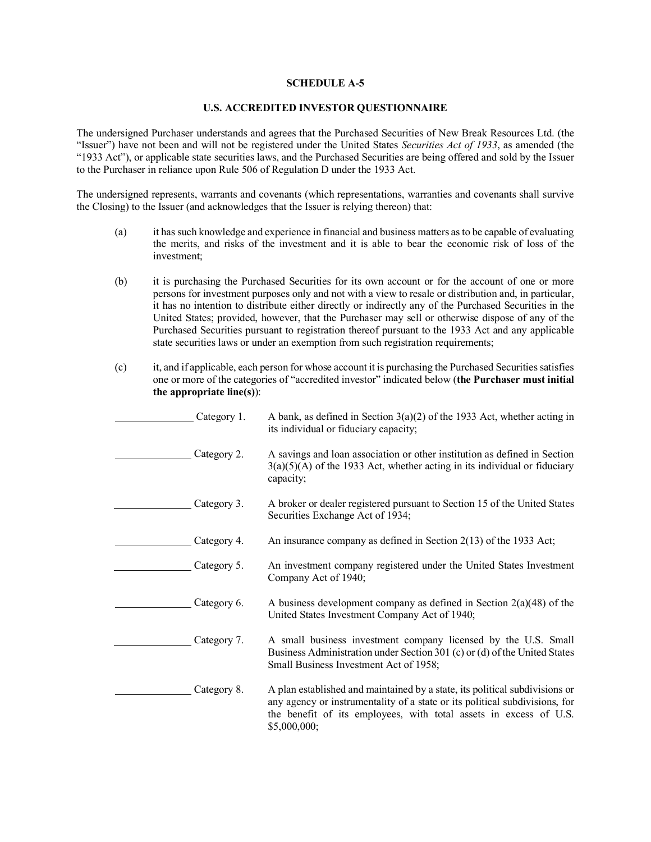#### **SCHEDULE A-5**

#### **U.S. ACCREDITED INVESTOR QUESTIONNAIRE**

The undersigned Purchaser understands and agrees that the Purchased Securities of New Break Resources Ltd. (the "Issuer") have not been and will not be registered under the United States *Securities Act of 1933*, as amended (the "1933 Act"), or applicable state securities laws, and the Purchased Securities are being offered and sold by the Issuer to the Purchaser in reliance upon Rule 506 of Regulation D under the 1933 Act.

The undersigned represents, warrants and covenants (which representations, warranties and covenants shall survive the Closing) to the Issuer (and acknowledges that the Issuer is relying thereon) that:

- (a) it has such knowledge and experience in financial and business matters as to be capable of evaluating the merits, and risks of the investment and it is able to bear the economic risk of loss of the investment;
- (b) it is purchasing the Purchased Securities for its own account or for the account of one or more persons for investment purposes only and not with a view to resale or distribution and, in particular, it has no intention to distribute either directly or indirectly any of the Purchased Securities in the United States; provided, however, that the Purchaser may sell or otherwise dispose of any of the Purchased Securities pursuant to registration thereof pursuant to the 1933 Act and any applicable state securities laws or under an exemption from such registration requirements;
- (c) it, and if applicable, each person for whose account it is purchasing the Purchased Securitiessatisfies one or more of the categories of "accredited investor" indicated below (**the Purchaser must initial the appropriate line(s)**):

| Category 1. | A bank, as defined in Section $3(a)(2)$ of the 1933 Act, whether acting in<br>its individual or fiduciary capacity;                                                                                                                             |
|-------------|-------------------------------------------------------------------------------------------------------------------------------------------------------------------------------------------------------------------------------------------------|
| Category 2. | A savings and loan association or other institution as defined in Section<br>$3(a)(5)(A)$ of the 1933 Act, whether acting in its individual or fiduciary<br>capacity;                                                                           |
| Category 3. | A broker or dealer registered pursuant to Section 15 of the United States<br>Securities Exchange Act of 1934;                                                                                                                                   |
| Category 4. | An insurance company as defined in Section $2(13)$ of the 1933 Act;                                                                                                                                                                             |
| Category 5. | An investment company registered under the United States Investment<br>Company Act of 1940;                                                                                                                                                     |
| Category 6. | A business development company as defined in Section $2(a)(48)$ of the<br>United States Investment Company Act of 1940;                                                                                                                         |
| Category 7. | A small business investment company licensed by the U.S. Small<br>Business Administration under Section 301 (c) or (d) of the United States<br>Small Business Investment Act of 1958;                                                           |
| Category 8. | A plan established and maintained by a state, its political subdivisions or<br>any agency or instrumentality of a state or its political subdivisions, for<br>the benefit of its employees, with total assets in excess of U.S.<br>\$5,000,000; |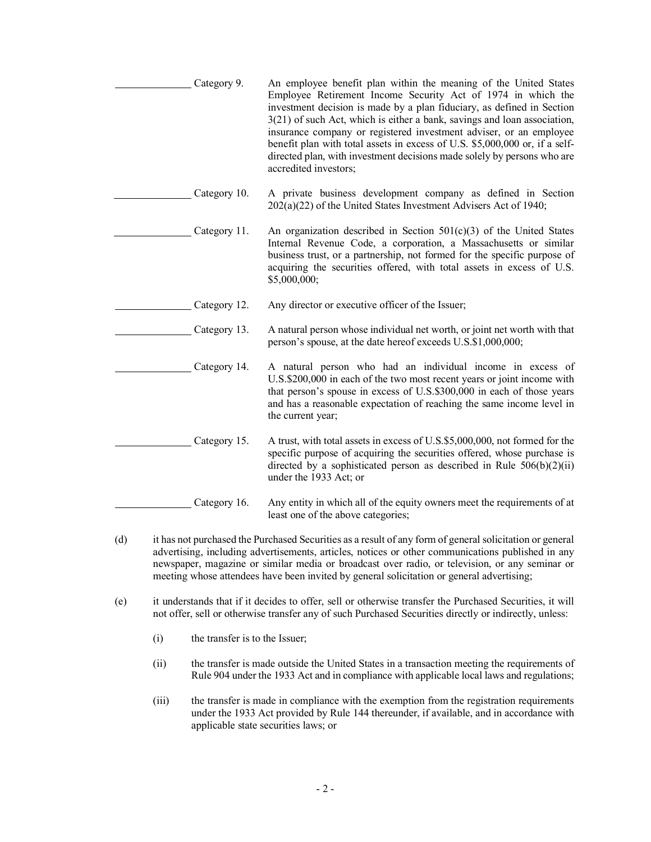|     |      | Category 9.                    | An employee benefit plan within the meaning of the United States<br>Employee Retirement Income Security Act of 1974 in which the<br>investment decision is made by a plan fiduciary, as defined in Section<br>3(21) of such Act, which is either a bank, savings and loan association,<br>insurance company or registered investment adviser, or an employee<br>benefit plan with total assets in excess of U.S. \$5,000,000 or, if a self-<br>directed plan, with investment decisions made solely by persons who are<br>accredited investors; |
|-----|------|--------------------------------|-------------------------------------------------------------------------------------------------------------------------------------------------------------------------------------------------------------------------------------------------------------------------------------------------------------------------------------------------------------------------------------------------------------------------------------------------------------------------------------------------------------------------------------------------|
|     |      | Category 10.                   | A private business development company as defined in Section<br>$202(a)(22)$ of the United States Investment Advisers Act of 1940;                                                                                                                                                                                                                                                                                                                                                                                                              |
|     |      | Category 11.                   | An organization described in Section $501(c)(3)$ of the United States<br>Internal Revenue Code, a corporation, a Massachusetts or similar<br>business trust, or a partnership, not formed for the specific purpose of<br>acquiring the securities offered, with total assets in excess of U.S.<br>\$5,000,000;                                                                                                                                                                                                                                  |
|     |      | Category 12.                   | Any director or executive officer of the Issuer;                                                                                                                                                                                                                                                                                                                                                                                                                                                                                                |
|     |      | Category 13.                   | A natural person whose individual net worth, or joint net worth with that<br>person's spouse, at the date hereof exceeds U.S.\$1,000,000;                                                                                                                                                                                                                                                                                                                                                                                                       |
|     |      | Category 14.                   | A natural person who had an individual income in excess of<br>U.S.\$200,000 in each of the two most recent years or joint income with<br>that person's spouse in excess of U.S.\$300,000 in each of those years<br>and has a reasonable expectation of reaching the same income level in<br>the current year;                                                                                                                                                                                                                                   |
|     |      | Category 15.                   | A trust, with total assets in excess of U.S.\$5,000,000, not formed for the<br>specific purpose of acquiring the securities offered, whose purchase is<br>directed by a sophisticated person as described in Rule $506(b)(2)(ii)$<br>under the 1933 Act; or                                                                                                                                                                                                                                                                                     |
|     |      | Category 16.                   | Any entity in which all of the equity owners meet the requirements of at<br>least one of the above categories;                                                                                                                                                                                                                                                                                                                                                                                                                                  |
| (d) |      |                                | it has not purchased the Purchased Securities as a result of any form of general solicitation or general<br>advertising, including advertisements, articles, notices or other communications published in any<br>newspaper, magazine or similar media or broadcast over radio, or television, or any seminar or<br>meeting whose attendees have been invited by general solicitation or general advertising;                                                                                                                                    |
| (e) |      |                                | it understands that if it decides to offer, sell or otherwise transfer the Purchased Securities, it will<br>not offer, sell or otherwise transfer any of such Purchased Securities directly or indirectly, unless:                                                                                                                                                                                                                                                                                                                              |
|     | (i)  | the transfer is to the Issuer; |                                                                                                                                                                                                                                                                                                                                                                                                                                                                                                                                                 |
|     | (ii) |                                | the transfer is made outside the United States in a transaction meeting the requirements of<br>Rule 904 under the 1933 Act and in compliance with applicable local laws and regulations;                                                                                                                                                                                                                                                                                                                                                        |

(iii) the transfer is made in compliance with the exemption from the registration requirements under the 1933 Act provided by Rule 144 thereunder, if available, and in accordance with applicable state securities laws; or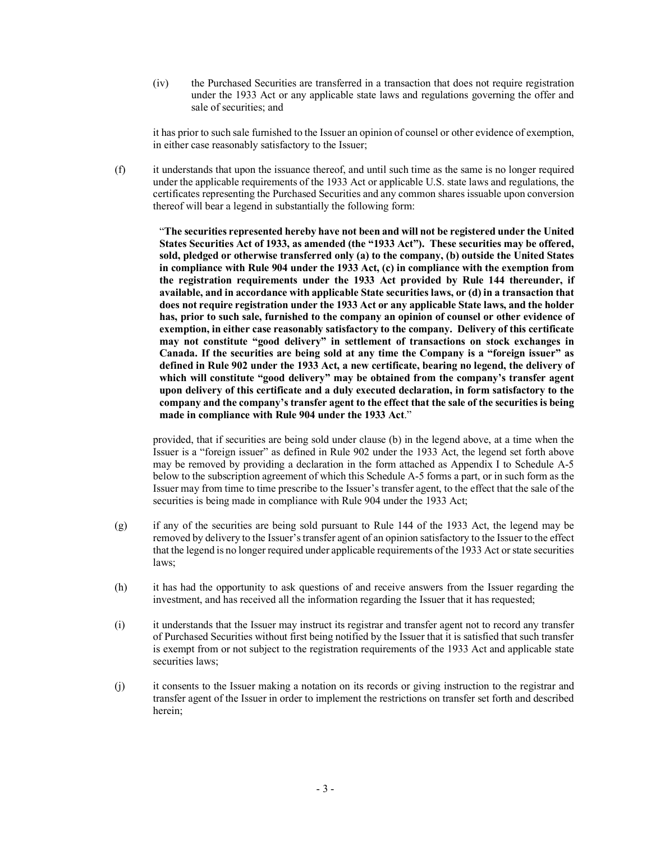(iv) the Purchased Securities are transferred in a transaction that does not require registration under the 1933 Act or any applicable state laws and regulations governing the offer and sale of securities; and

it has prior to such sale furnished to the Issuer an opinion of counsel or other evidence of exemption, in either case reasonably satisfactory to the Issuer;

(f) it understands that upon the issuance thereof, and until such time as the same is no longer required under the applicable requirements of the 1933 Act or applicable U.S. state laws and regulations, the certificates representing the Purchased Securities and any common shares issuable upon conversion thereof will bear a legend in substantially the following form:

"**The securities represented hereby have not been and will not be registered under the United States Securities Act of 1933, as amended (the "1933 Act"). These securities may be offered, sold, pledged or otherwise transferred only (a) to the company, (b) outside the United States in compliance with Rule 904 under the 1933 Act, (c) in compliance with the exemption from the registration requirements under the 1933 Act provided by Rule 144 thereunder, if available, and in accordance with applicable State securities laws, or (d) in a transaction that does not require registration under the 1933 Act or any applicable State laws, and the holder has, prior to such sale, furnished to the company an opinion of counsel or other evidence of exemption, in either case reasonably satisfactory to the company. Delivery of this certificate may not constitute "good delivery" in settlement of transactions on stock exchanges in Canada. If the securities are being sold at any time the Company is a "foreign issuer" as defined in Rule 902 under the 1933 Act, a new certificate, bearing no legend, the delivery of which will constitute "good delivery" may be obtained from the company's transfer agent upon delivery of this certificate and a duly executed declaration, in form satisfactory to the company and the company's transfer agent to the effect that the sale of the securities is being made in compliance with Rule 904 under the 1933 Act**."

provided, that if securities are being sold under clause (b) in the legend above, at a time when the Issuer is a "foreign issuer" as defined in Rule 902 under the 1933 Act, the legend set forth above may be removed by providing a declaration in the form attached as Appendix I to Schedule A-5 below to the subscription agreement of which this Schedule A-5 forms a part, or in such form as the Issuer may from time to time prescribe to the Issuer's transfer agent, to the effect that the sale of the securities is being made in compliance with Rule 904 under the 1933 Act;

- (g) if any of the securities are being sold pursuant to Rule 144 of the 1933 Act, the legend may be removed by delivery to the Issuer's transfer agent of an opinion satisfactory to the Issuer to the effect that the legend is no longer required under applicable requirements of the 1933 Act or state securities laws;
- (h) it has had the opportunity to ask questions of and receive answers from the Issuer regarding the investment, and has received all the information regarding the Issuer that it has requested;
- (i) it understands that the Issuer may instruct its registrar and transfer agent not to record any transfer of Purchased Securities without first being notified by the Issuer that it is satisfied that such transfer is exempt from or not subject to the registration requirements of the 1933 Act and applicable state securities laws;
- (j) it consents to the Issuer making a notation on its records or giving instruction to the registrar and transfer agent of the Issuer in order to implement the restrictions on transfer set forth and described herein;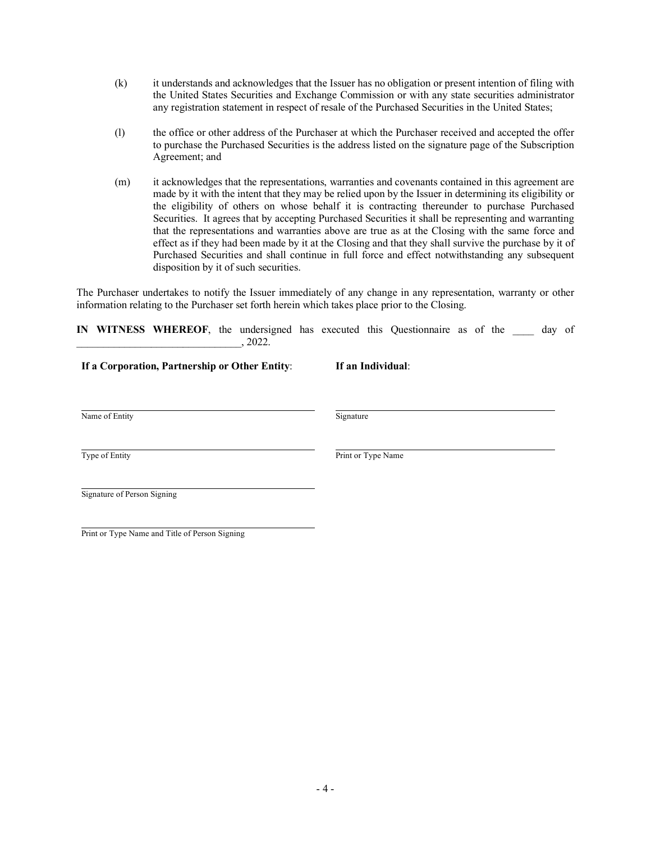- (k) it understands and acknowledges that the Issuer has no obligation or present intention of filing with the United States Securities and Exchange Commission or with any state securities administrator any registration statement in respect of resale of the Purchased Securities in the United States;
- (l) the office or other address of the Purchaser at which the Purchaser received and accepted the offer to purchase the Purchased Securities is the address listed on the signature page of the Subscription Agreement; and
- (m) it acknowledges that the representations, warranties and covenants contained in this agreement are made by it with the intent that they may be relied upon by the Issuer in determining its eligibility or the eligibility of others on whose behalf it is contracting thereunder to purchase Purchased Securities. It agrees that by accepting Purchased Securities it shall be representing and warranting that the representations and warranties above are true as at the Closing with the same force and effect as if they had been made by it at the Closing and that they shall survive the purchase by it of Purchased Securities and shall continue in full force and effect notwithstanding any subsequent disposition by it of such securities.

The Purchaser undertakes to notify the Issuer immediately of any change in any representation, warranty or other information relating to the Purchaser set forth herein which takes place prior to the Closing.

**IN WITNESS WHEREOF**, the undersigned has executed this Questionnaire as of the day of  $, 2022.$ 

| If a Corporation, Partnership or Other Entity: | If an Individual:  |
|------------------------------------------------|--------------------|
|                                                |                    |
| Name of Entity                                 | Signature          |
| Type of Entity                                 | Print or Type Name |
| Signature of Person Signing                    |                    |
|                                                |                    |

Print or Type Name and Title of Person Signing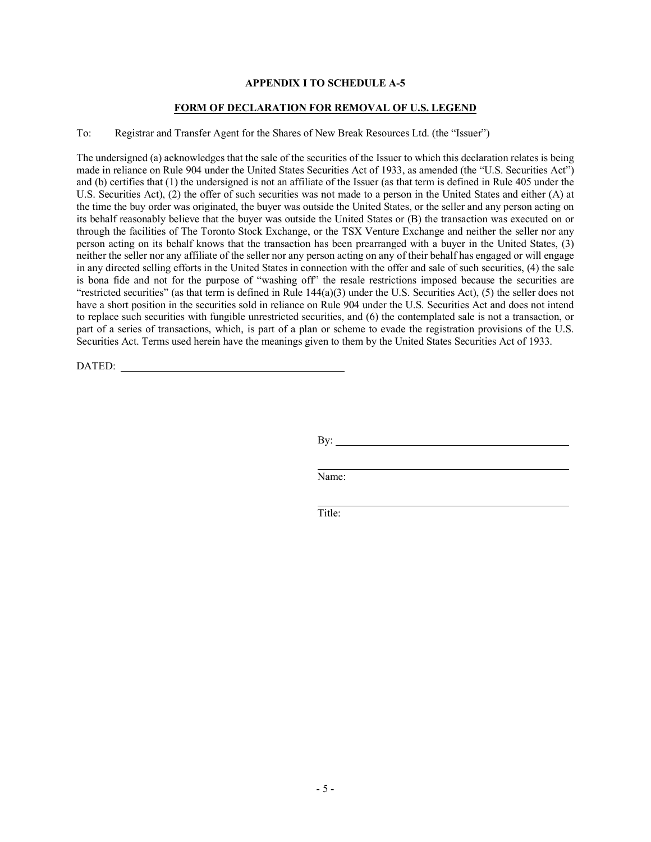#### **APPENDIX I TO SCHEDULE A-5**

#### **FORM OF DECLARATION FOR REMOVAL OF U.S. LEGEND**

To: Registrar and Transfer Agent for the Shares of New Break Resources Ltd. (the "Issuer")

The undersigned (a) acknowledges that the sale of the securities of the Issuer to which this declaration relates is being made in reliance on Rule 904 under the United States Securities Act of 1933, as amended (the "U.S. Securities Act") and (b) certifies that (1) the undersigned is not an affiliate of the Issuer (as that term is defined in Rule 405 under the U.S. Securities Act), (2) the offer of such securities was not made to a person in the United States and either (A) at the time the buy order was originated, the buyer was outside the United States, or the seller and any person acting on its behalf reasonably believe that the buyer was outside the United States or (B) the transaction was executed on or through the facilities of The Toronto Stock Exchange, or the TSX Venture Exchange and neither the seller nor any person acting on its behalf knows that the transaction has been prearranged with a buyer in the United States, (3) neither the seller nor any affiliate of the seller nor any person acting on any of their behalf has engaged or will engage in any directed selling efforts in the United States in connection with the offer and sale of such securities, (4) the sale is bona fide and not for the purpose of "washing off" the resale restrictions imposed because the securities are "restricted securities" (as that term is defined in Rule 144(a)(3) under the U.S. Securities Act), (5) the seller does not have a short position in the securities sold in reliance on Rule 904 under the U.S. Securities Act and does not intend to replace such securities with fungible unrestricted securities, and (6) the contemplated sale is not a transaction, or part of a series of transactions, which, is part of a plan or scheme to evade the registration provisions of the U.S. Securities Act. Terms used herein have the meanings given to them by the United States Securities Act of 1933.

DATED:

By:

Name:

Title: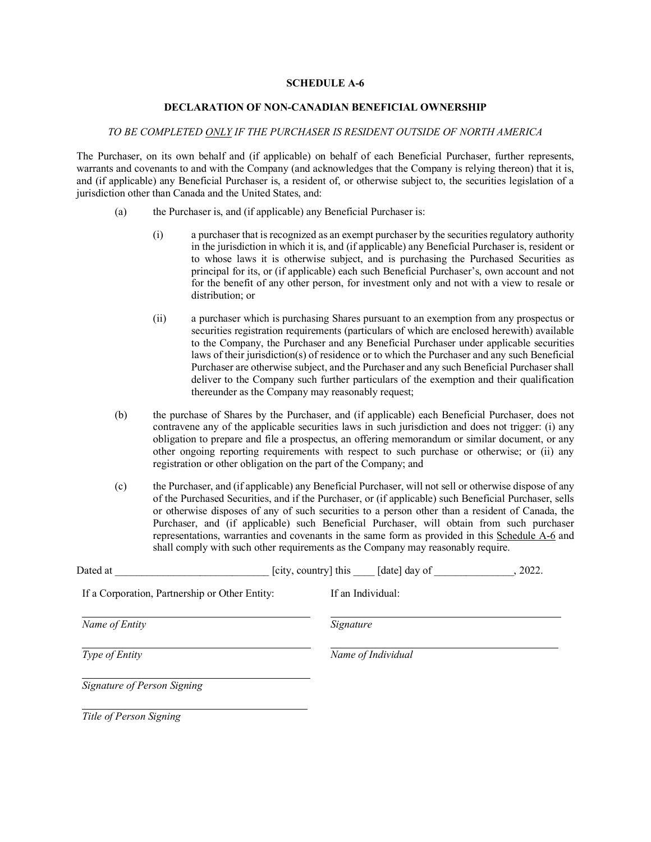#### **SCHEDULE A-6**

#### **DECLARATION OF NON-CANADIAN BENEFICIAL OWNERSHIP**

#### *TO BE COMPLETED ONLY IF THE PURCHASER IS RESIDENT OUTSIDE OF NORTH AMERICA*

The Purchaser, on its own behalf and (if applicable) on behalf of each Beneficial Purchaser, further represents, warrants and covenants to and with the Company (and acknowledges that the Company is relying thereon) that it is, and (if applicable) any Beneficial Purchaser is, a resident of, or otherwise subject to, the securities legislation of a jurisdiction other than Canada and the United States, and:

- (a) the Purchaser is, and (if applicable) any Beneficial Purchaser is:
	- (i) a purchaser that is recognized as an exempt purchaser by the securities regulatory authority in the jurisdiction in which it is, and (if applicable) any Beneficial Purchaser is, resident or to whose laws it is otherwise subject, and is purchasing the Purchased Securities as principal for its, or (if applicable) each such Beneficial Purchaser's, own account and not for the benefit of any other person, for investment only and not with a view to resale or distribution; or
	- (ii) a purchaser which is purchasing Shares pursuant to an exemption from any prospectus or securities registration requirements (particulars of which are enclosed herewith) available to the Company, the Purchaser and any Beneficial Purchaser under applicable securities laws of their jurisdiction(s) of residence or to which the Purchaser and any such Beneficial Purchaser are otherwise subject, and the Purchaser and any such Beneficial Purchaser shall deliver to the Company such further particulars of the exemption and their qualification thereunder as the Company may reasonably request;
- (b) the purchase of Shares by the Purchaser, and (if applicable) each Beneficial Purchaser, does not contravene any of the applicable securities laws in such jurisdiction and does not trigger: (i) any obligation to prepare and file a prospectus, an offering memorandum or similar document, or any other ongoing reporting requirements with respect to such purchase or otherwise; or (ii) any registration or other obligation on the part of the Company; and
- (c) the Purchaser, and (if applicable) any Beneficial Purchaser, will not sell or otherwise dispose of any of the Purchased Securities, and if the Purchaser, or (if applicable) such Beneficial Purchaser, sells or otherwise disposes of any of such securities to a person other than a resident of Canada, the Purchaser, and (if applicable) such Beneficial Purchaser, will obtain from such purchaser representations, warranties and covenants in the same form as provided in this Schedule A-6 and shall comply with such other requirements as the Company may reasonably require.

| Dated at                                       | [date] day of<br>[city, country] this<br>2022. |
|------------------------------------------------|------------------------------------------------|
| If a Corporation, Partnership or Other Entity: | If an Individual:                              |
| Name of Entity                                 | Signature                                      |
| Type of Entity                                 | Name of Individual                             |
| Signature of Person Signing                    |                                                |
|                                                |                                                |

*Title of Person Signing*